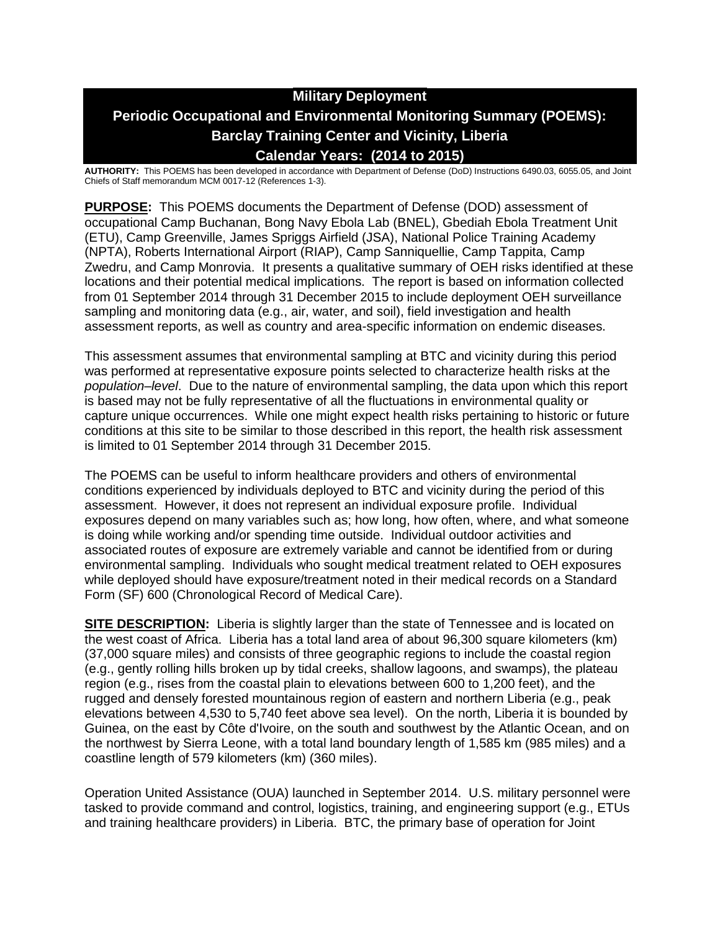# **Military Deployment Periodic Occupational and Environmental Monitoring Summary (POEMS): Barclay Training Center and Vicinity, Liberia Calendar Years: (2014 to 2015)**

**AUTHORITY:** This POEMS has been developed in accordance with Department of Defense (DoD) Instructions 6490.03, 6055.05, and Joint Chiefs of Staff memorandum MCM 0017-12 (References 1-3).

**PURPOSE:** This POEMS documents the Department of Defense (DOD) assessment of occupational Camp Buchanan, Bong Navy Ebola Lab (BNEL), Gbediah Ebola Treatment Unit (ETU), Camp Greenville, James Spriggs Airfield (JSA), National Police Training Academy (NPTA), Roberts International Airport (RIAP), Camp Sanniquellie, Camp Tappita, Camp Zwedru, and Camp Monrovia. It presents a qualitative summary of OEH risks identified at these locations and their potential medical implications. The report is based on information collected from 01 September 2014 through 31 December 2015 to include deployment OEH surveillance sampling and monitoring data (e.g., air, water, and soil), field investigation and health assessment reports, as well as country and area-specific information on endemic diseases.

This assessment assumes that environmental sampling at BTC and vicinity during this period was performed at representative exposure points selected to characterize health risks at the *population–level*. Due to the nature of environmental sampling, the data upon which this report is based may not be fully representative of all the fluctuations in environmental quality or capture unique occurrences. While one might expect health risks pertaining to historic or future conditions at this site to be similar to those described in this report, the health risk assessment is limited to 01 September 2014 through 31 December 2015.

The POEMS can be useful to inform healthcare providers and others of environmental conditions experienced by individuals deployed to BTC and vicinity during the period of this assessment. However, it does not represent an individual exposure profile. Individual exposures depend on many variables such as; how long, how often, where, and what someone is doing while working and/or spending time outside. Individual outdoor activities and associated routes of exposure are extremely variable and cannot be identified from or during environmental sampling. Individuals who sought medical treatment related to OEH exposures while deployed should have exposure/treatment noted in their medical records on a Standard Form (SF) 600 (Chronological Record of Medical Care).

**SITE DESCRIPTION:** Liberia is slightly larger than the state of Tennessee and is located on the west coast of Africa. Liberia has a total land area of about 96,300 square kilometers (km) (37,000 square miles) and consists of three geographic regions to include the coastal region (e.g., gently rolling hills broken up by tidal creeks, shallow lagoons, and swamps), the plateau region (e.g., rises from the coastal plain to elevations between 600 to 1,200 feet), and the rugged and densely forested mountainous region of eastern and northern Liberia (e.g., peak elevations between 4,530 to 5,740 feet above sea level). On the north, Liberia it is bounded by Guinea, on the east by Côte d'Ivoire, on the south and southwest by the Atlantic Ocean, and on the northwest by Sierra Leone, with a total land boundary length of 1,585 km (985 miles) and a coastline length of 579 kilometers (km) (360 miles).

Operation United Assistance (OUA) launched in September 2014. U.S. military personnel were tasked to provide command and control, logistics, training, and engineering support (e.g., ETUs and training healthcare providers) in Liberia. BTC, the primary base of operation for Joint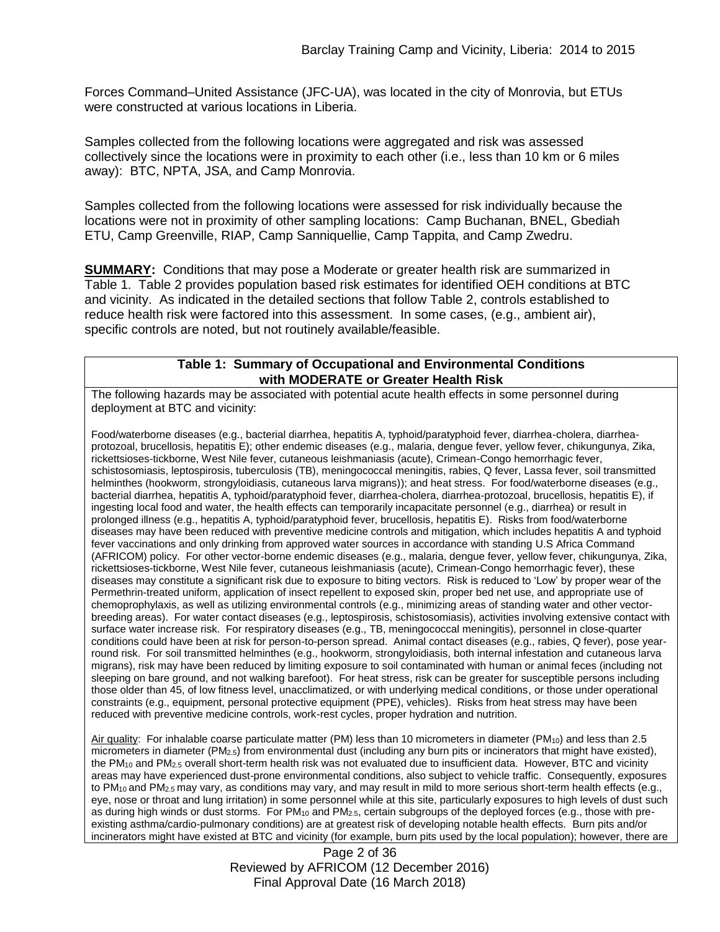Forces Command–United Assistance (JFC-UA), was located in the city of Monrovia, but ETUs were constructed at various locations in Liberia.

Samples collected from the following locations were aggregated and risk was assessed collectively since the locations were in proximity to each other (i.e., less than 10 km or 6 miles away): BTC, NPTA, JSA, and Camp Monrovia.

Samples collected from the following locations were assessed for risk individually because the locations were not in proximity of other sampling locations: Camp Buchanan, BNEL, Gbediah ETU, Camp Greenville, RIAP, Camp Sanniquellie, Camp Tappita, and Camp Zwedru.

**SUMMARY:** Conditions that may pose a Moderate or greater health risk are summarized in Table 1. Table 2 provides population based risk estimates for identified OEH conditions at BTC and vicinity. As indicated in the detailed sections that follow Table 2, controls established to reduce health risk were factored into this assessment. In some cases, (e.g., ambient air), specific controls are noted, but not routinely available/feasible.

### **Table 1: Summary of Occupational and Environmental Conditions with MODERATE or Greater Health Risk**

The following hazards may be associated with potential acute health effects in some personnel during deployment at BTC and vicinity:

Food/waterborne diseases (e.g., bacterial diarrhea, hepatitis A, typhoid/paratyphoid fever, diarrhea-cholera, diarrheaprotozoal, brucellosis, hepatitis E); other endemic diseases (e.g., malaria, dengue fever, yellow fever, chikungunya, Zika, rickettsioses-tickborne, West Nile fever, cutaneous leishmaniasis (acute), Crimean-Congo hemorrhagic fever, schistosomiasis, leptospirosis, tuberculosis (TB), meningococcal meningitis, rabies, Q fever, Lassa fever, soil transmitted helminthes (hookworm, strongyloidiasis, cutaneous larva migrans)); and heat stress. For food/waterborne diseases (e.g., bacterial diarrhea, hepatitis A, typhoid/paratyphoid fever, diarrhea-cholera, diarrhea-protozoal, brucellosis, hepatitis E), if ingesting local food and water, the health effects can temporarily incapacitate personnel (e.g., diarrhea) or result in prolonged illness (e.g., hepatitis A, typhoid/paratyphoid fever, brucellosis, hepatitis E). Risks from food/waterborne diseases may have been reduced with preventive medicine controls and mitigation, which includes hepatitis A and typhoid fever vaccinations and only drinking from approved water sources in accordance with standing U.S Africa Command (AFRICOM) policy. For other vector-borne endemic diseases (e.g., malaria, dengue fever, yellow fever, chikungunya, Zika, rickettsioses-tickborne, West Nile fever, cutaneous leishmaniasis (acute), Crimean-Congo hemorrhagic fever), these diseases may constitute a significant risk due to exposure to biting vectors. Risk is reduced to 'Low' by proper wear of the Permethrin-treated uniform, application of insect repellent to exposed skin, proper bed net use, and appropriate use of chemoprophylaxis, as well as utilizing environmental controls (e.g., minimizing areas of standing water and other vectorbreeding areas). For water contact diseases (e.g., leptospirosis, schistosomiasis), activities involving extensive contact with surface water increase risk. For respiratory diseases (e.g., TB, meningococcal meningitis), personnel in close-quarter conditions could have been at risk for person-to-person spread. Animal contact diseases (e.g., rabies, Q fever), pose yearround risk. For soil transmitted helminthes (e.g., hookworm, strongyloidiasis, both internal infestation and cutaneous larva migrans), risk may have been reduced by limiting exposure to soil contaminated with human or animal feces (including not sleeping on bare ground, and not walking barefoot). For heat stress, risk can be greater for susceptible persons including those older than 45, of low fitness level, unacclimatized, or with underlying medical conditions, or those under operational constraints (e.g., equipment, personal protective equipment (PPE), vehicles). Risks from heat stress may have been reduced with preventive medicine controls, work-rest cycles, proper hydration and nutrition.

Air quality: For inhalable coarse particulate matter (PM) less than 10 micrometers in diameter (PM<sub>10</sub>) and less than 2.5 micrometers in diameter (PM2.5) from environmental dust (including any burn pits or incinerators that might have existed), the PM<sub>10</sub> and PM<sub>2.5</sub> overall short-term health risk was not evaluated due to insufficient data. However, BTC and vicinity areas may have experienced dust-prone environmental conditions, also subject to vehicle traffic. Consequently, exposures to  $PM_{10}$  and  $PM_{2.5}$  may vary, as conditions may vary, and may result in mild to more serious short-term health effects (e.g., eye, nose or throat and lung irritation) in some personnel while at this site, particularly exposures to high levels of dust such as during high winds or dust storms. For PM<sub>10</sub> and PM<sub>2.5</sub>, certain subgroups of the deployed forces (e.g., those with preexisting asthma/cardio-pulmonary conditions) are at greatest risk of developing notable health effects. Burn pits and/or incinerators might have existed at BTC and vicinity (for example, burn pits used by the local population); however, there are

> Page 2 of 36 Reviewed by AFRICOM (12 December 2016) Final Approval Date (16 March 2018)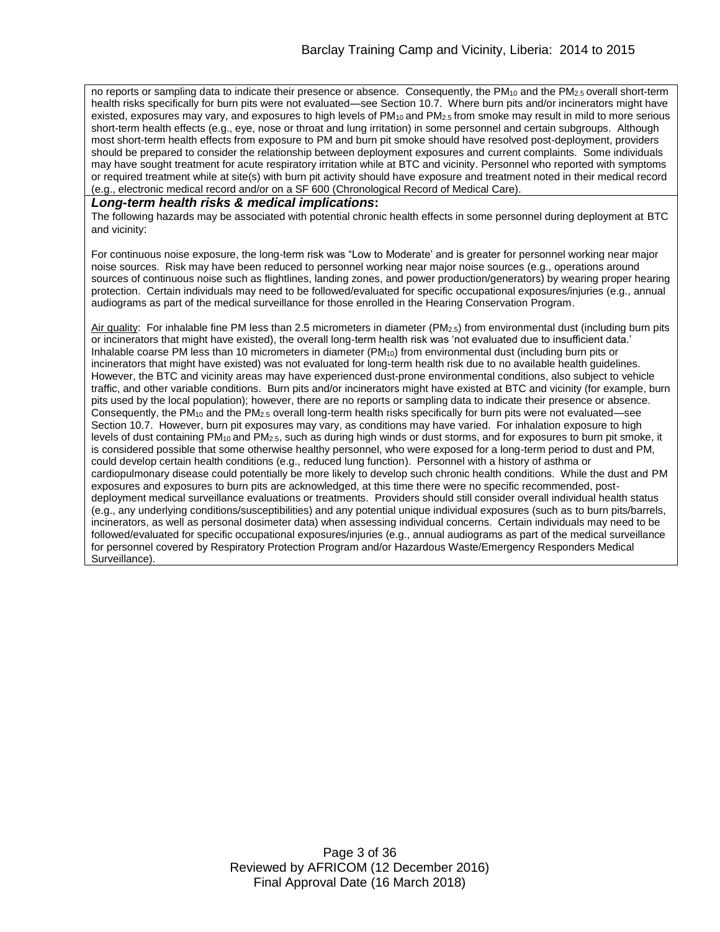no reports or sampling data to indicate their presence or absence. Consequently, the PM<sub>10</sub> and the PM<sub>2.5</sub> overall short-term health risks specifically for burn pits were not evaluated—see Section 10.7. Where burn pits and/or incinerators might have existed, exposures may vary, and exposures to high levels of PM<sub>10</sub> and PM<sub>2.5</sub> from smoke may result in mild to more serious short-term health effects (e.g., eye, nose or throat and lung irritation) in some personnel and certain subgroups. Although most short-term health effects from exposure to PM and burn pit smoke should have resolved post-deployment, providers should be prepared to consider the relationship between deployment exposures and current complaints. Some individuals may have sought treatment for acute respiratory irritation while at BTC and vicinity. Personnel who reported with symptoms or required treatment while at site(s) with burn pit activity should have exposure and treatment noted in their medical record (e.g., electronic medical record and/or on a SF 600 (Chronological Record of Medical Care).

#### *Long-term health risks & medical implications***:**

The following hazards may be associated with potential chronic health effects in some personnel during deployment at BTC and vicinity:

For continuous noise exposure, the long-term risk was "Low to Moderate' and is greater for personnel working near major noise sources. Risk may have been reduced to personnel working near major noise sources (e.g., operations around sources of continuous noise such as flightlines, landing zones, and power production/generators) by wearing proper hearing protection. Certain individuals may need to be followed/evaluated for specific occupational exposures/injuries (e.g., annual audiograms as part of the medical surveillance for those enrolled in the Hearing Conservation Program.

Air quality: For inhalable fine PM less than 2.5 micrometers in diameter (PM2.5) from environmental dust (including burn pits or incinerators that might have existed), the overall long-term health risk was 'not evaluated due to insufficient data.' Inhalable coarse PM less than 10 micrometers in diameter  $(PM_{10})$  from environmental dust (including burn pits or incinerators that might have existed) was not evaluated for long-term health risk due to no available health guidelines. However, the BTC and vicinity areas may have experienced dust-prone environmental conditions, also subject to vehicle traffic, and other variable conditions. Burn pits and/or incinerators might have existed at BTC and vicinity (for example, burn pits used by the local population); however, there are no reports or sampling data to indicate their presence or absence. Consequently, the PM<sub>10</sub> and the PM<sub>2.5</sub> overall long-term health risks specifically for burn pits were not evaluated—see Section 10.7. However, burn pit exposures may vary, as conditions may have varied. For inhalation exposure to high levels of dust containing PM10 and PM2.5, such as during high winds or dust storms, and for exposures to burn pit smoke, it is considered possible that some otherwise healthy personnel, who were exposed for a long-term period to dust and PM, could develop certain health conditions (e.g., reduced lung function). Personnel with a history of asthma or cardiopulmonary disease could potentially be more likely to develop such chronic health conditions. While the dust and PM exposures and exposures to burn pits are acknowledged, at this time there were no specific recommended, postdeployment medical surveillance evaluations or treatments. Providers should still consider overall individual health status (e.g., any underlying conditions/susceptibilities) and any potential unique individual exposures (such as to burn pits/barrels, incinerators, as well as personal dosimeter data) when assessing individual concerns. Certain individuals may need to be followed/evaluated for specific occupational exposures/injuries (e.g., annual audiograms as part of the medical surveillance for personnel covered by Respiratory Protection Program and/or Hazardous Waste/Emergency Responders Medical Surveillance).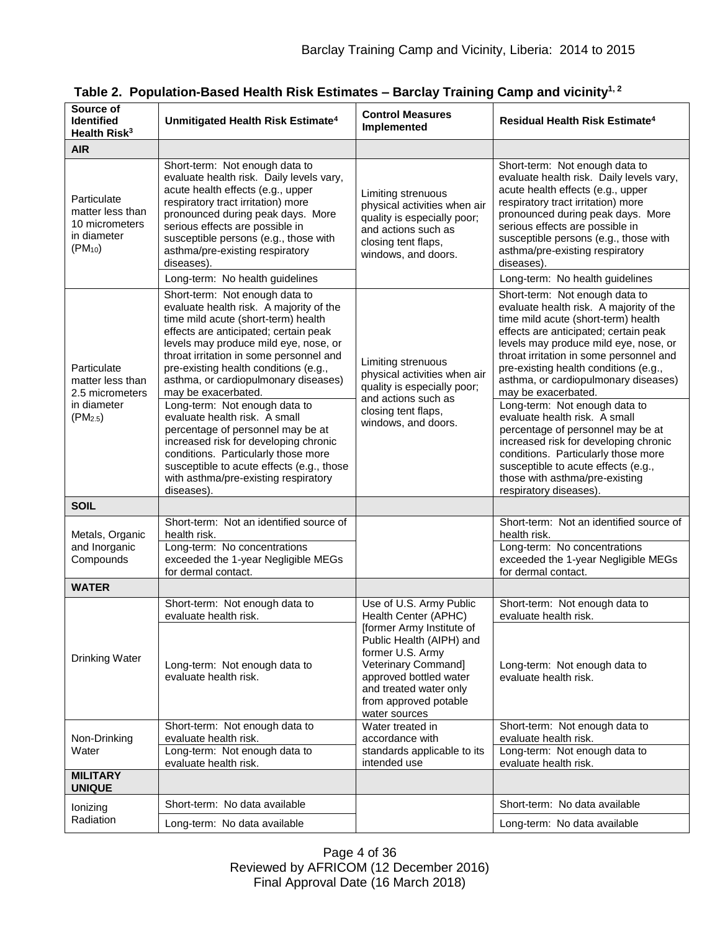| Source of<br><b>Identified</b><br>Health Risk <sup>3</sup>                        | Unmitigated Health Risk Estimate <sup>4</sup>                                                                                                                                                                                                                                                                                                                                                                                                                                                                                                                                                                                                   | <b>Control Measures</b><br>Implemented                                                                                                                                                                                                            | Residual Health Risk Estimate <sup>4</sup>                                                                                                                                                                                                                                                                                                                                                                                                                                                                                                                                                                                                      |
|-----------------------------------------------------------------------------------|-------------------------------------------------------------------------------------------------------------------------------------------------------------------------------------------------------------------------------------------------------------------------------------------------------------------------------------------------------------------------------------------------------------------------------------------------------------------------------------------------------------------------------------------------------------------------------------------------------------------------------------------------|---------------------------------------------------------------------------------------------------------------------------------------------------------------------------------------------------------------------------------------------------|-------------------------------------------------------------------------------------------------------------------------------------------------------------------------------------------------------------------------------------------------------------------------------------------------------------------------------------------------------------------------------------------------------------------------------------------------------------------------------------------------------------------------------------------------------------------------------------------------------------------------------------------------|
| <b>AIR</b>                                                                        |                                                                                                                                                                                                                                                                                                                                                                                                                                                                                                                                                                                                                                                 |                                                                                                                                                                                                                                                   |                                                                                                                                                                                                                                                                                                                                                                                                                                                                                                                                                                                                                                                 |
| Particulate<br>matter less than<br>10 micrometers<br>in diameter<br>$(PM_{10})$   | Short-term: Not enough data to<br>evaluate health risk. Daily levels vary,<br>acute health effects (e.g., upper<br>respiratory tract irritation) more<br>pronounced during peak days. More<br>serious effects are possible in<br>susceptible persons (e.g., those with<br>asthma/pre-existing respiratory<br>diseases).<br>Long-term: No health guidelines                                                                                                                                                                                                                                                                                      | Limiting strenuous<br>physical activities when air<br>quality is especially poor;<br>and actions such as<br>closing tent flaps,<br>windows, and doors.                                                                                            | Short-term: Not enough data to<br>evaluate health risk. Daily levels vary,<br>acute health effects (e.g., upper<br>respiratory tract irritation) more<br>pronounced during peak days. More<br>serious effects are possible in<br>susceptible persons (e.g., those with<br>asthma/pre-existing respiratory<br>diseases).<br>Long-term: No health guidelines                                                                                                                                                                                                                                                                                      |
| Particulate<br>matter less than<br>2.5 micrometers<br>in diameter<br>$(PM_{2.5})$ | Short-term: Not enough data to<br>evaluate health risk. A majority of the<br>time mild acute (short-term) health<br>effects are anticipated; certain peak<br>levels may produce mild eye, nose, or<br>throat irritation in some personnel and<br>pre-existing health conditions (e.g.,<br>asthma, or cardiopulmonary diseases)<br>may be exacerbated.<br>Long-term: Not enough data to<br>evaluate health risk. A small<br>percentage of personnel may be at<br>increased risk for developing chronic<br>conditions. Particularly those more<br>susceptible to acute effects (e.g., those<br>with asthma/pre-existing respiratory<br>diseases). | Limiting strenuous<br>physical activities when air<br>quality is especially poor;<br>and actions such as<br>closing tent flaps,<br>windows, and doors.                                                                                            | Short-term: Not enough data to<br>evaluate health risk. A majority of the<br>time mild acute (short-term) health<br>effects are anticipated; certain peak<br>levels may produce mild eye, nose, or<br>throat irritation in some personnel and<br>pre-existing health conditions (e.g.,<br>asthma, or cardiopulmonary diseases)<br>may be exacerbated.<br>Long-term: Not enough data to<br>evaluate health risk. A small<br>percentage of personnel may be at<br>increased risk for developing chronic<br>conditions. Particularly those more<br>susceptible to acute effects (e.g.,<br>those with asthma/pre-existing<br>respiratory diseases). |
| <b>SOIL</b>                                                                       |                                                                                                                                                                                                                                                                                                                                                                                                                                                                                                                                                                                                                                                 |                                                                                                                                                                                                                                                   |                                                                                                                                                                                                                                                                                                                                                                                                                                                                                                                                                                                                                                                 |
| Metals, Organic<br>and Inorganic<br>Compounds                                     | Short-term: Not an identified source of<br>health risk.<br>Long-term: No concentrations<br>exceeded the 1-year Negligible MEGs<br>for dermal contact.                                                                                                                                                                                                                                                                                                                                                                                                                                                                                           |                                                                                                                                                                                                                                                   | Short-term: Not an identified source of<br>health risk.<br>Long-term: No concentrations<br>exceeded the 1-year Negligible MEGs<br>for dermal contact.                                                                                                                                                                                                                                                                                                                                                                                                                                                                                           |
| <b>WATER</b>                                                                      |                                                                                                                                                                                                                                                                                                                                                                                                                                                                                                                                                                                                                                                 |                                                                                                                                                                                                                                                   |                                                                                                                                                                                                                                                                                                                                                                                                                                                                                                                                                                                                                                                 |
| Drinking Water                                                                    | Short-term: Not enough data to<br>evaluate health risk.<br>Long-term: Not enough data to<br>evaluate health risk.                                                                                                                                                                                                                                                                                                                                                                                                                                                                                                                               | Use of U.S. Army Public<br>Health Center (APHC)<br>[former Army Institute of<br>Public Health (AIPH) and<br>former U.S. Army<br>Veterinary Command]<br>approved bottled water<br>and treated water only<br>from approved potable<br>water sources | Short-term: Not enough data to<br>evaluate health risk.<br>Long-term: Not enough data to<br>evaluate health risk.                                                                                                                                                                                                                                                                                                                                                                                                                                                                                                                               |
| Non-Drinking<br>Water                                                             | Short-term: Not enough data to<br>evaluate health risk.                                                                                                                                                                                                                                                                                                                                                                                                                                                                                                                                                                                         | Water treated in<br>accordance with                                                                                                                                                                                                               | Short-term: Not enough data to<br>evaluate health risk.                                                                                                                                                                                                                                                                                                                                                                                                                                                                                                                                                                                         |
|                                                                                   | Long-term: Not enough data to<br>evaluate health risk.                                                                                                                                                                                                                                                                                                                                                                                                                                                                                                                                                                                          | standards applicable to its<br>intended use                                                                                                                                                                                                       | Long-term: Not enough data to<br>evaluate health risk.                                                                                                                                                                                                                                                                                                                                                                                                                                                                                                                                                                                          |
| <b>MILITARY</b><br><b>UNIQUE</b>                                                  |                                                                                                                                                                                                                                                                                                                                                                                                                                                                                                                                                                                                                                                 |                                                                                                                                                                                                                                                   |                                                                                                                                                                                                                                                                                                                                                                                                                                                                                                                                                                                                                                                 |
| lonizing                                                                          | Short-term: No data available                                                                                                                                                                                                                                                                                                                                                                                                                                                                                                                                                                                                                   |                                                                                                                                                                                                                                                   | Short-term: No data available                                                                                                                                                                                                                                                                                                                                                                                                                                                                                                                                                                                                                   |
| Radiation                                                                         | Long-term: No data available                                                                                                                                                                                                                                                                                                                                                                                                                                                                                                                                                                                                                    |                                                                                                                                                                                                                                                   | Long-term: No data available                                                                                                                                                                                                                                                                                                                                                                                                                                                                                                                                                                                                                    |

| Table 2. Population-Based Health Risk Estimates – Barclay Training Camp and vicinity <sup>1, 2</sup> |  |  |  |
|------------------------------------------------------------------------------------------------------|--|--|--|
|------------------------------------------------------------------------------------------------------|--|--|--|

Page 4 of 36 Reviewed by AFRICOM (12 December 2016) Final Approval Date (16 March 2018)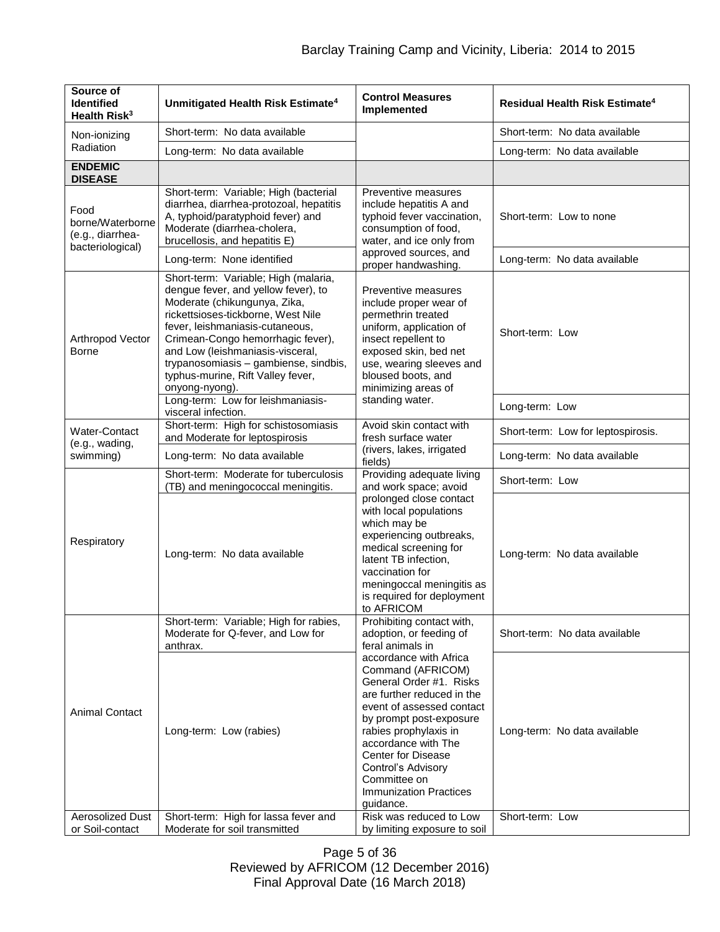| Source of<br><b>Identified</b><br>Health Risk <sup>3</sup>       | Unmitigated Health Risk Estimate <sup>4</sup>                                                                                                                                                                                                                                                                                                                 | <b>Control Measures</b><br>Implemented                                                                                                                                                                                                                                                                                 | Residual Health Risk Estimate <sup>4</sup> |
|------------------------------------------------------------------|---------------------------------------------------------------------------------------------------------------------------------------------------------------------------------------------------------------------------------------------------------------------------------------------------------------------------------------------------------------|------------------------------------------------------------------------------------------------------------------------------------------------------------------------------------------------------------------------------------------------------------------------------------------------------------------------|--------------------------------------------|
| Non-ionizing                                                     | Short-term: No data available                                                                                                                                                                                                                                                                                                                                 |                                                                                                                                                                                                                                                                                                                        | Short-term: No data available              |
| Radiation                                                        | Long-term: No data available                                                                                                                                                                                                                                                                                                                                  |                                                                                                                                                                                                                                                                                                                        | Long-term: No data available               |
| <b>ENDEMIC</b><br><b>DISEASE</b>                                 |                                                                                                                                                                                                                                                                                                                                                               |                                                                                                                                                                                                                                                                                                                        |                                            |
| Food<br>borne/Waterborne<br>(e.g., diarrhea-<br>bacteriological) | Short-term: Variable; High (bacterial<br>diarrhea, diarrhea-protozoal, hepatitis<br>A, typhoid/paratyphoid fever) and<br>Moderate (diarrhea-cholera,<br>brucellosis, and hepatitis E)                                                                                                                                                                         | Preventive measures<br>include hepatitis A and<br>typhoid fever vaccination,<br>consumption of food,<br>water, and ice only from                                                                                                                                                                                       | Short-term: Low to none                    |
|                                                                  | Long-term: None identified                                                                                                                                                                                                                                                                                                                                    | approved sources, and<br>proper handwashing.                                                                                                                                                                                                                                                                           | Long-term: No data available               |
| Arthropod Vector<br><b>Borne</b>                                 | Short-term: Variable; High (malaria,<br>dengue fever, and yellow fever), to<br>Moderate (chikungunya, Zika,<br>rickettsioses-tickborne, West Nile<br>fever, leishmaniasis-cutaneous,<br>Crimean-Congo hemorrhagic fever),<br>and Low (leishmaniasis-visceral,<br>trypanosomiasis - gambiense, sindbis,<br>typhus-murine, Rift Valley fever,<br>onyong-nyong). | Preventive measures<br>include proper wear of<br>permethrin treated<br>uniform, application of<br>insect repellent to<br>exposed skin, bed net<br>use, wearing sleeves and<br>bloused boots, and<br>minimizing areas of<br>standing water.                                                                             | Short-term: Low                            |
|                                                                  | Long-term: Low for leishmaniasis-<br>visceral infection.                                                                                                                                                                                                                                                                                                      |                                                                                                                                                                                                                                                                                                                        | Long-term: Low                             |
| Water-Contact<br>(e.g., wading,                                  | Short-term: High for schistosomiasis<br>and Moderate for leptospirosis                                                                                                                                                                                                                                                                                        | Avoid skin contact with<br>fresh surface water<br>(rivers, lakes, irrigated<br>fields)                                                                                                                                                                                                                                 | Short-term: Low for leptospirosis.         |
| swimming)                                                        | Long-term: No data available                                                                                                                                                                                                                                                                                                                                  |                                                                                                                                                                                                                                                                                                                        | Long-term: No data available               |
|                                                                  | Short-term: Moderate for tuberculosis<br>(TB) and meningococcal meningitis.                                                                                                                                                                                                                                                                                   | Providing adequate living<br>and work space; avoid                                                                                                                                                                                                                                                                     | Short-term: Low                            |
| Respiratory                                                      | Long-term: No data available                                                                                                                                                                                                                                                                                                                                  | prolonged close contact<br>with local populations<br>which may be<br>experiencing outbreaks,<br>medical screening for<br>latent TB infection,<br>vaccination for<br>meningoccal meningitis as<br>is required for deployment<br>to AFRICOM                                                                              | Long-term: No data available               |
| <b>Animal Contact</b>                                            | Short-term: Variable; High for rabies,<br>Moderate for Q-fever, and Low for<br>anthrax.                                                                                                                                                                                                                                                                       | Prohibiting contact with,<br>adoption, or feeding of<br>feral animals in                                                                                                                                                                                                                                               | Short-term: No data available              |
|                                                                  | Long-term: Low (rabies)                                                                                                                                                                                                                                                                                                                                       | accordance with Africa<br>Command (AFRICOM)<br>General Order #1. Risks<br>are further reduced in the<br>event of assessed contact<br>by prompt post-exposure<br>rabies prophylaxis in<br>accordance with The<br>Center for Disease<br>Control's Advisory<br>Committee on<br><b>Immunization Practices</b><br>guidance. | Long-term: No data available               |
| <b>Aerosolized Dust</b><br>or Soil-contact                       | Short-term: High for lassa fever and<br>Moderate for soil transmitted                                                                                                                                                                                                                                                                                         | Risk was reduced to Low<br>by limiting exposure to soil                                                                                                                                                                                                                                                                | Short-term: Low                            |

Page 5 of 36 Reviewed by AFRICOM (12 December 2016) Final Approval Date (16 March 2018)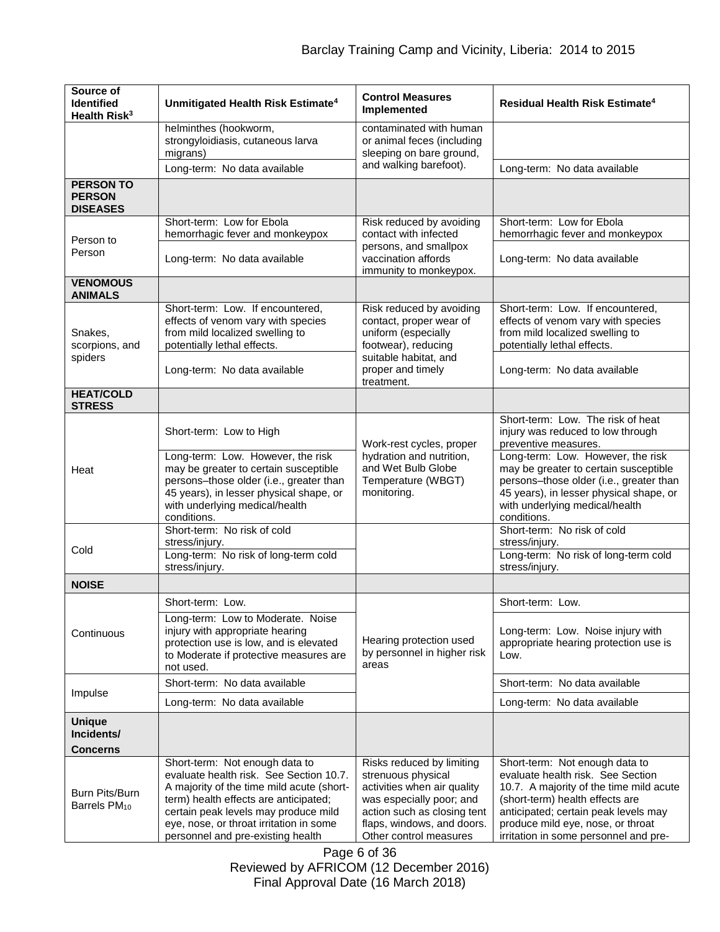| Source of<br><b>Identified</b><br>Health Risk <sup>3</sup> | Unmitigated Health Risk Estimate <sup>4</sup>                                                                                                                                                                                                         | <b>Control Measures</b><br>Implemented                                                                                                                               | <b>Residual Health Risk Estimate<sup>4</sup></b>                                                                                                                                                                                      |
|------------------------------------------------------------|-------------------------------------------------------------------------------------------------------------------------------------------------------------------------------------------------------------------------------------------------------|----------------------------------------------------------------------------------------------------------------------------------------------------------------------|---------------------------------------------------------------------------------------------------------------------------------------------------------------------------------------------------------------------------------------|
|                                                            | helminthes (hookworm,<br>strongyloidiasis, cutaneous larva<br>migrans)                                                                                                                                                                                | contaminated with human<br>or animal feces (including<br>sleeping on bare ground,                                                                                    |                                                                                                                                                                                                                                       |
|                                                            | Long-term: No data available                                                                                                                                                                                                                          | and walking barefoot).                                                                                                                                               | Long-term: No data available                                                                                                                                                                                                          |
| <b>PERSON TO</b><br><b>PERSON</b><br><b>DISEASES</b>       |                                                                                                                                                                                                                                                       |                                                                                                                                                                      |                                                                                                                                                                                                                                       |
| Person to                                                  | Short-term: Low for Ebola<br>hemorrhagic fever and monkeypox                                                                                                                                                                                          | Risk reduced by avoiding<br>contact with infected                                                                                                                    | Short-term: Low for Ebola<br>hemorrhagic fever and monkeypox                                                                                                                                                                          |
| Person                                                     | Long-term: No data available                                                                                                                                                                                                                          | persons, and smallpox<br>vaccination affords<br>immunity to monkeypox.                                                                                               | Long-term: No data available                                                                                                                                                                                                          |
| <b>VENOMOUS</b><br><b>ANIMALS</b>                          |                                                                                                                                                                                                                                                       |                                                                                                                                                                      |                                                                                                                                                                                                                                       |
| Snakes,<br>scorpions, and<br>spiders                       | Short-term: Low. If encountered,<br>effects of venom vary with species<br>from mild localized swelling to<br>potentially lethal effects.<br>Long-term: No data available                                                                              | Risk reduced by avoiding<br>contact, proper wear of<br>uniform (especially<br>footwear), reducing<br>suitable habitat, and<br>proper and timely                      | Short-term: Low. If encountered,<br>effects of venom vary with species<br>from mild localized swelling to<br>potentially lethal effects.<br>Long-term: No data available                                                              |
| <b>HEAT/COLD</b>                                           |                                                                                                                                                                                                                                                       | treatment.                                                                                                                                                           |                                                                                                                                                                                                                                       |
| <b>STRESS</b><br>Heat                                      | Short-term: Low to High                                                                                                                                                                                                                               | Work-rest cycles, proper<br>hydration and nutrition,<br>and Wet Bulb Globe<br>Temperature (WBGT)<br>monitoring.                                                      | Short-term: Low. The risk of heat<br>injury was reduced to low through<br>preventive measures.                                                                                                                                        |
|                                                            | Long-term: Low. However, the risk<br>may be greater to certain susceptible<br>persons-those older (i.e., greater than<br>45 years), in lesser physical shape, or<br>with underlying medical/health<br>conditions.                                     |                                                                                                                                                                      | Long-term: Low. However, the risk<br>may be greater to certain susceptible<br>persons-those older (i.e., greater than<br>45 years), in lesser physical shape, or<br>with underlying medical/health<br>conditions.                     |
| Cold                                                       | Short-term: No risk of cold<br>stress/injury.                                                                                                                                                                                                         |                                                                                                                                                                      | Short-term: No risk of cold<br>stress/injury.                                                                                                                                                                                         |
|                                                            | Long-term: No risk of long-term cold<br>stress/injury.                                                                                                                                                                                                |                                                                                                                                                                      | Long-term: No risk of long-term cold<br>stress/injury.                                                                                                                                                                                |
| <b>NOISE</b>                                               |                                                                                                                                                                                                                                                       |                                                                                                                                                                      |                                                                                                                                                                                                                                       |
|                                                            | Short-term: Low.                                                                                                                                                                                                                                      |                                                                                                                                                                      | Short-term: Low.                                                                                                                                                                                                                      |
| Continuous                                                 | Long-term: Low to Moderate. Noise<br>injury with appropriate hearing<br>protection use is low, and is elevated<br>to Moderate if protective measures are<br>not used.                                                                                 | Hearing protection used<br>by personnel in higher risk<br>areas                                                                                                      | Long-term: Low. Noise injury with<br>appropriate hearing protection use is<br>Low.                                                                                                                                                    |
| Impulse                                                    | Short-term: No data available                                                                                                                                                                                                                         |                                                                                                                                                                      | Short-term: No data available                                                                                                                                                                                                         |
|                                                            | Long-term: No data available                                                                                                                                                                                                                          |                                                                                                                                                                      | Long-term: No data available                                                                                                                                                                                                          |
| <b>Unique</b><br>Incidents/<br><b>Concerns</b>             |                                                                                                                                                                                                                                                       |                                                                                                                                                                      |                                                                                                                                                                                                                                       |
|                                                            | Short-term: Not enough data to                                                                                                                                                                                                                        | Risks reduced by limiting                                                                                                                                            | Short-term: Not enough data to                                                                                                                                                                                                        |
| Burn Pits/Burn<br>Barrels PM <sub>10</sub>                 | evaluate health risk. See Section 10.7.<br>A majority of the time mild acute (short-<br>term) health effects are anticipated;<br>certain peak levels may produce mild<br>eye, nose, or throat irritation in some<br>personnel and pre-existing health | strenuous physical<br>activities when air quality<br>was especially poor; and<br>action such as closing tent<br>flaps, windows, and doors.<br>Other control measures | evaluate health risk. See Section<br>10.7. A majority of the time mild acute<br>(short-term) health effects are<br>anticipated; certain peak levels may<br>produce mild eye, nose, or throat<br>irritation in some personnel and pre- |

Page 6 of 36 Reviewed by AFRICOM (12 December 2016) Final Approval Date (16 March 2018)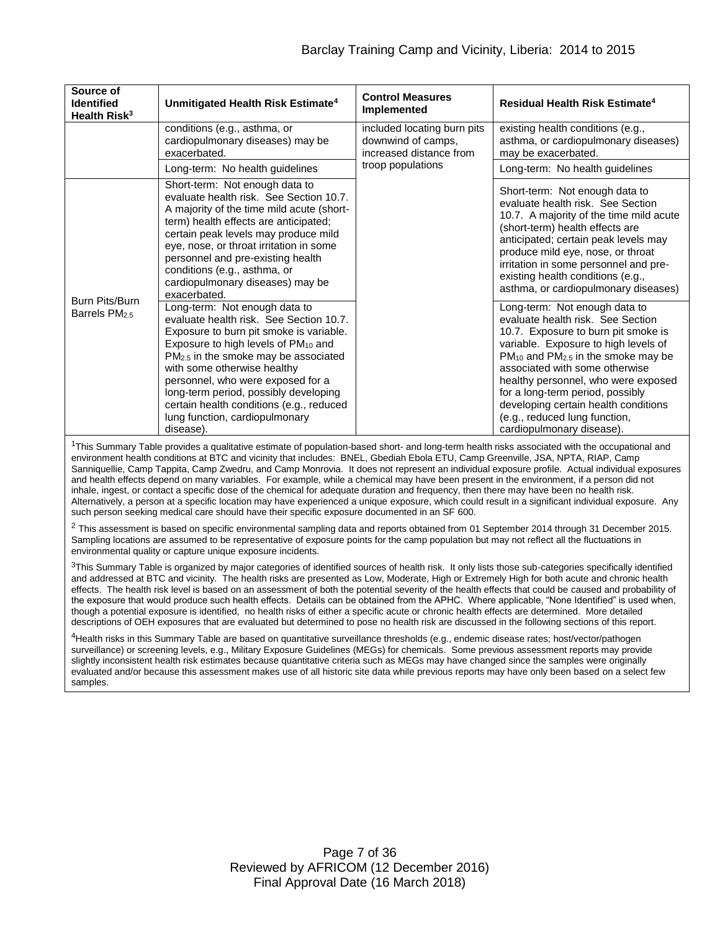| Source of<br><b>Identified</b><br>Health Risk <sup>3</sup> | Unmitigated Health Risk Estimate <sup>4</sup>                                                                                                                                                                                                                                                                                                                                                                            | <b>Control Measures</b><br>Implemented                                       | Residual Health Risk Estimate <sup>4</sup>                                                                                                                                                                                                                                                                                                                                                                           |
|------------------------------------------------------------|--------------------------------------------------------------------------------------------------------------------------------------------------------------------------------------------------------------------------------------------------------------------------------------------------------------------------------------------------------------------------------------------------------------------------|------------------------------------------------------------------------------|----------------------------------------------------------------------------------------------------------------------------------------------------------------------------------------------------------------------------------------------------------------------------------------------------------------------------------------------------------------------------------------------------------------------|
|                                                            | conditions (e.g., asthma, or<br>cardiopulmonary diseases) may be<br>exacerbated.                                                                                                                                                                                                                                                                                                                                         | included locating burn pits<br>downwind of camps,<br>increased distance from | existing health conditions (e.g.,<br>asthma, or cardiopulmonary diseases)<br>may be exacerbated.                                                                                                                                                                                                                                                                                                                     |
|                                                            | Long-term: No health guidelines                                                                                                                                                                                                                                                                                                                                                                                          | troop populations                                                            | Long-term: No health guidelines                                                                                                                                                                                                                                                                                                                                                                                      |
|                                                            | Short-term: Not enough data to<br>evaluate health risk. See Section 10.7.<br>A majority of the time mild acute (short-<br>term) health effects are anticipated;<br>certain peak levels may produce mild<br>eye, nose, or throat irritation in some<br>personnel and pre-existing health<br>conditions (e.g., asthma, or<br>cardiopulmonary diseases) may be<br>exacerbated.                                              |                                                                              | Short-term: Not enough data to<br>evaluate health risk. See Section<br>10.7. A majority of the time mild acute<br>(short-term) health effects are<br>anticipated; certain peak levels may<br>produce mild eye, nose, or throat<br>irritation in some personnel and pre-<br>existing health conditions (e.g.,<br>asthma, or cardiopulmonary diseases)                                                                 |
| Burn Pits/Burn<br>Barrels PM <sub>2.5</sub>                | Long-term: Not enough data to<br>evaluate health risk. See Section 10.7.<br>Exposure to burn pit smoke is variable.<br>Exposure to high levels of PM <sub>10</sub> and<br>$PM2.5$ in the smoke may be associated<br>with some otherwise healthy<br>personnel, who were exposed for a<br>long-term period, possibly developing<br>certain health conditions (e.g., reduced<br>lung function, cardiopulmonary<br>disease). |                                                                              | Long-term: Not enough data to<br>evaluate health risk. See Section<br>10.7. Exposure to burn pit smoke is<br>variable. Exposure to high levels of<br>$PM_{10}$ and $PM_{2.5}$ in the smoke may be<br>associated with some otherwise<br>healthy personnel, who were exposed<br>for a long-term period, possibly<br>developing certain health conditions<br>(e.g., reduced lung function,<br>cardiopulmonary disease). |

<sup>1</sup>This Summary Table provides a qualitative estimate of population-based short- and long-term health risks associated with the occupational and environment health conditions at BTC and vicinity that includes: BNEL, Gbediah Ebola ETU, Camp Greenville, JSA, NPTA, RIAP, Camp Sanniquellie, Camp Tappita, Camp Zwedru, and Camp Monrovia. It does not represent an individual exposure profile. Actual individual exposures and health effects depend on many variables. For example, while a chemical may have been present in the environment, if a person did not inhale, ingest, or contact a specific dose of the chemical for adequate duration and frequency, then there may have been no health risk. Alternatively, a person at a specific location may have experienced a unique exposure, which could result in a significant individual exposure. Any such person seeking medical care should have their specific exposure documented in an SF 600.

<sup>2</sup> This assessment is based on specific environmental sampling data and reports obtained from 01 September 2014 through 31 December 2015. Sampling locations are assumed to be representative of exposure points for the camp population but may not reflect all the fluctuations in environmental quality or capture unique exposure incidents.

<sup>3</sup>This Summary Table is organized by major categories of identified sources of health risk. It only lists those sub-categories specifically identified and addressed at BTC and vicinity. The health risks are presented as Low, Moderate, High or Extremely High for both acute and chronic health effects. The health risk level is based on an assessment of both the potential severity of the health effects that could be caused and probability of the exposure that would produce such health effects. Details can be obtained from the APHC. Where applicable, "None Identified" is used when, though a potential exposure is identified, no health risks of either a specific acute or chronic health effects are determined. More detailed descriptions of OEH exposures that are evaluated but determined to pose no health risk are discussed in the following sections of this report.

<sup>4</sup>Health risks in this Summary Table are based on quantitative surveillance thresholds (e.g., endemic disease rates; host/vector/pathogen surveillance) or screening levels, e.g., Military Exposure Guidelines (MEGs) for chemicals. Some previous assessment reports may provide slightly inconsistent health risk estimates because quantitative criteria such as MEGs may have changed since the samples were originally evaluated and/or because this assessment makes use of all historic site data while previous reports may have only been based on a select few samples.

> Page 7 of 36 Reviewed by AFRICOM (12 December 2016) Final Approval Date (16 March 2018)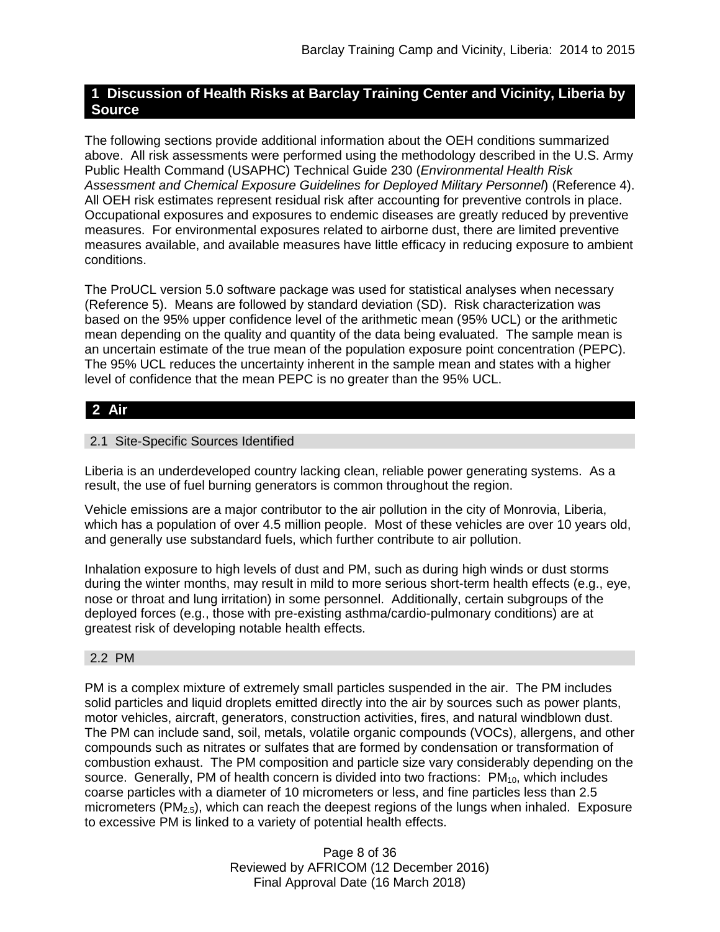# **1 Discussion of Health Risks at Barclay Training Center and Vicinity, Liberia by Source**

The following sections provide additional information about the OEH conditions summarized above. All risk assessments were performed using the methodology described in the U.S. Army Public Health Command (USAPHC) Technical Guide 230 (*Environmental Health Risk Assessment and Chemical Exposure Guidelines for Deployed Military Personnel*) (Reference 4). All OEH risk estimates represent residual risk after accounting for preventive controls in place. Occupational exposures and exposures to endemic diseases are greatly reduced by preventive measures. For environmental exposures related to airborne dust, there are limited preventive measures available, and available measures have little efficacy in reducing exposure to ambient conditions.

The ProUCL version 5.0 software package was used for statistical analyses when necessary (Reference 5). Means are followed by standard deviation (SD). Risk characterization was based on the 95% upper confidence level of the arithmetic mean (95% UCL) or the arithmetic mean depending on the quality and quantity of the data being evaluated. The sample mean is an uncertain estimate of the true mean of the population exposure point concentration (PEPC). The 95% UCL reduces the uncertainty inherent in the sample mean and states with a higher level of confidence that the mean PEPC is no greater than the 95% UCL.

# **2 Air**

# 2.1 Site-Specific Sources Identified

Liberia is an underdeveloped country lacking clean, reliable power generating systems. As a result, the use of fuel burning generators is common throughout the region.

Vehicle emissions are a major contributor to the air pollution in the city of Monrovia, Liberia, which has a population of over 4.5 million people. Most of these vehicles are over 10 years old, and generally use substandard fuels, which further contribute to air pollution.

Inhalation exposure to high levels of dust and PM, such as during high winds or dust storms during the winter months, may result in mild to more serious short-term health effects (e.g., eye, nose or throat and lung irritation) in some personnel. Additionally, certain subgroups of the deployed forces (e.g., those with pre-existing asthma/cardio-pulmonary conditions) are at greatest risk of developing notable health effects.

## 2.2 PM

PM is a complex mixture of extremely small particles suspended in the air. The PM includes solid particles and liquid droplets emitted directly into the air by sources such as power plants, motor vehicles, aircraft, generators, construction activities, fires, and natural windblown dust. The PM can include sand, soil, metals, volatile organic compounds (VOCs), allergens, and other compounds such as nitrates or sulfates that are formed by condensation or transformation of combustion exhaust. The PM composition and particle size vary considerably depending on the source. Generally, PM of health concern is divided into two fractions:  $PM_{10}$ , which includes coarse particles with a diameter of 10 micrometers or less, and fine particles less than 2.5 micrometers ( $PM_{2.5}$ ), which can reach the deepest regions of the lungs when inhaled. Exposure to excessive PM is linked to a variety of potential health effects.

> Page 8 of 36 Reviewed by AFRICOM (12 December 2016) Final Approval Date (16 March 2018)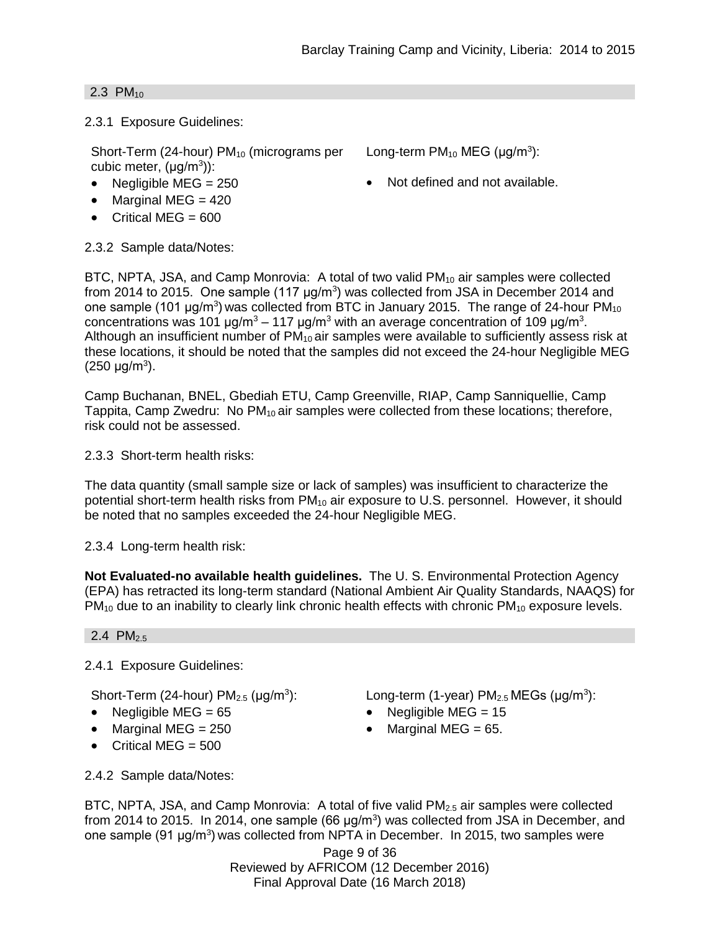Long-term  $PM_{10}$  MEG ( $\mu$ g/m<sup>3</sup>):

### 2.3  $PM_{10}$

2.3.1 Exposure Guidelines:

Short-Term (24-hour)  $PM_{10}$  (micrograms per cubic meter,  $(\mu g/m^3)$ ):

- Negligible MEG =  $250$   $\bullet$  Not defined and not available.
- $\bullet$  Marginal MEG = 420
- $\bullet$  Critical MEG = 600

2.3.2 Sample data/Notes:

BTC, NPTA, JSA, and Camp Monrovia: A total of two valid PM<sub>10</sub> air samples were collected from 2014 to 2015. One sample (117  $\mu$ g/m<sup>3</sup>) was collected from JSA in December 2014 and one sample (101  $\mu$ g/m<sup>3</sup>) was collected from BTC in January 2015. The range of 24-hour PM<sub>10</sub> concentrations was 101  $\mu$ g/m<sup>3</sup> – 117  $\mu$ g/m<sup>3</sup> with an average concentration of 109  $\mu$ g/m<sup>3</sup>. Although an insufficient number of  $PM_{10}$  air samples were available to sufficiently assess risk at these locations, it should be noted that the samples did not exceed the 24-hour Negligible MEG  $(250 \text{ µg/m}^3).$ 

Camp Buchanan, BNEL, Gbediah ETU, Camp Greenville, RIAP, Camp Sanniquellie, Camp Tappita, Camp Zwedru: No PM<sub>10</sub> air samples were collected from these locations; therefore, risk could not be assessed.

2.3.3 Short-term health risks:

The data quantity (small sample size or lack of samples) was insufficient to characterize the potential short-term health risks from PM<sub>10</sub> air exposure to U.S. personnel. However, it should be noted that no samples exceeded the 24-hour Negligible MEG.

2.3.4 Long-term health risk:

**Not Evaluated-no available health guidelines.** The U. S. Environmental Protection Agency (EPA) has retracted its long-term standard (National Ambient Air Quality Standards, NAAQS) for  $PM_{10}$  due to an inability to clearly link chronic health effects with chronic  $PM_{10}$  exposure levels.

2.4  $PM_{2.5}$ 

2.4.1 Exposure Guidelines:

Short-Term (24-hour)  $PM_{2.5}$  ( $\mu$ g/m<sup>3</sup>):

- 
- Marginal MEG =  $250$  Marginal MEG =  $65$ .
- $\bullet$  Critical MEG = 500

): Long-term (1-year)  $PM<sub>2.5</sub> MEGs$  ( $\mu$ g/m<sup>3</sup>):

- Negligible MEG =  $65$  Negligible MEG =  $15$ 
	-

2.4.2 Sample data/Notes:

BTC, NPTA, JSA, and Camp Monrovia: A total of five valid PM<sub>2.5</sub> air samples were collected from 2014 to 2015. In 2014, one sample (66  $\mu$ g/m<sup>3</sup>) was collected from JSA in December, and one sample (91 μg/m<sup>3</sup>) was collected from NPTA in December. In 2015, two samples were

Page 9 of 36 Reviewed by AFRICOM (12 December 2016) Final Approval Date (16 March 2018)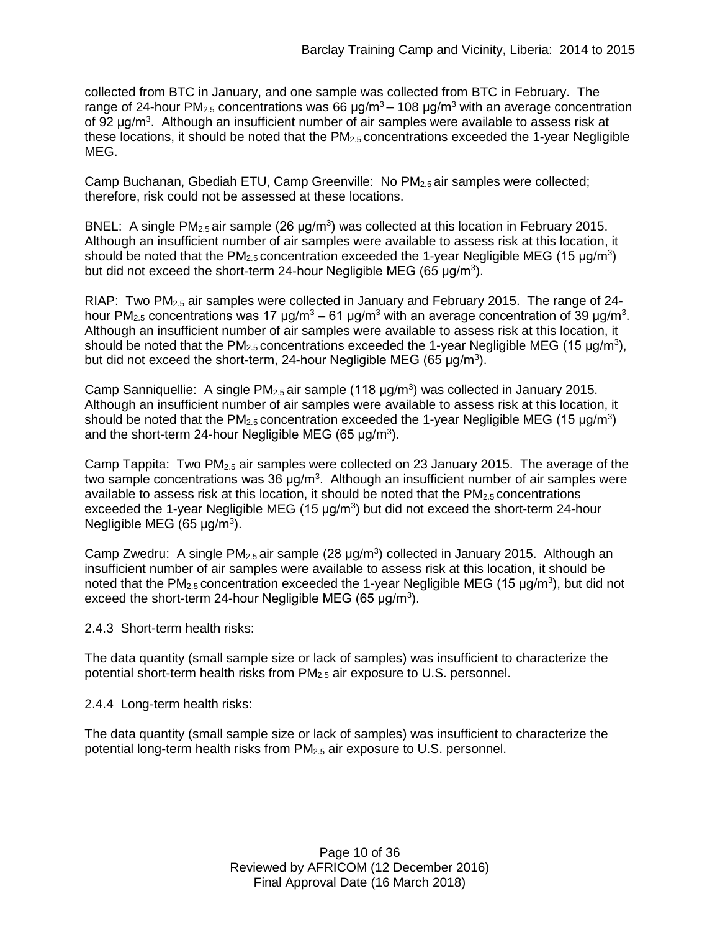collected from BTC in January, and one sample was collected from BTC in February. The range of 24-hour PM<sub>2.5</sub> concentrations was 66  $\mu$ g/m<sup>3</sup> – 108  $\mu$ g/m<sup>3</sup> with an average concentration of 92 μg/m<sup>3</sup>. Although an insufficient number of air samples were available to assess risk at these locations, it should be noted that the  $PM<sub>2.5</sub>$  concentrations exceeded the 1-year Negligible MEG.

Camp Buchanan, Gbediah ETU, Camp Greenville: No PM2.5 air samples were collected; therefore, risk could not be assessed at these locations.

BNEL: A single PM<sub>2.5</sub> air sample (26  $\mu$ g/m<sup>3</sup>) was collected at this location in February 2015. Although an insufficient number of air samples were available to assess risk at this location, it should be noted that the  $PM_{2.5}$  concentration exceeded the 1-year Negligible MEG (15  $\mu$ g/m<sup>3</sup>) but did not exceed the short-term 24-hour Negligible MEG (65  $\mu$ g/m<sup>3</sup>).

RIAP: Two PM<sub>2.5</sub> air samples were collected in January and February 2015. The range of 24hour PM<sub>2.5</sub> concentrations was 17 μg/m<sup>3</sup> – 61 μg/m<sup>3</sup> with an average concentration of 39 μg/m<sup>3</sup>. Although an insufficient number of air samples were available to assess risk at this location, it should be noted that the PM<sub>2.5</sub> concentrations exceeded the 1-year Negligible MEG (15  $\mu$ g/m<sup>3</sup>), but did not exceed the short-term, 24-hour Negligible MEG (65 μg/m<sup>3</sup>).

Camp Sanniquellie: A single  $PM_{2.5}$  air sample (118  $\mu$ g/m<sup>3</sup>) was collected in January 2015. Although an insufficient number of air samples were available to assess risk at this location, it should be noted that the  $PM_{2.5}$  concentration exceeded the 1-year Negligible MEG (15  $\mu$ g/m<sup>3</sup>) and the short-term 24-hour Negligible MEG (65  $\mu$ g/m<sup>3</sup>).

Camp Tappita: Two  $PM_{2.5}$  air samples were collected on 23 January 2015. The average of the two sample concentrations was 36  $\mu$ g/m<sup>3</sup>. Although an insufficient number of air samples were available to assess risk at this location, it should be noted that the  $PM_{2.5}$  concentrations exceeded the 1-year Negligible MEG (15  $\mu$ g/m<sup>3</sup>) but did not exceed the short-term 24-hour Negligible MEG (65  $\mu$ g/m<sup>3</sup>).

Camp Zwedru: A single  $PM_{2.5}$  air sample (28  $\mu$ g/m<sup>3</sup>) collected in January 2015. Although an insufficient number of air samples were available to assess risk at this location, it should be noted that the PM<sub>2.5</sub> concentration exceeded the 1-year Negligible MEG (15  $\mu$ g/m<sup>3</sup>), but did not exceed the short-term 24-hour Negligible MEG (65  $\mu$ g/m<sup>3</sup>).

2.4.3 Short-term health risks:

The data quantity (small sample size or lack of samples) was insufficient to characterize the potential short-term health risks from PM2.5 air exposure to U.S. personnel.

2.4.4 Long-term health risks:

The data quantity (small sample size or lack of samples) was insufficient to characterize the potential long-term health risks from PM2.5 air exposure to U.S. personnel.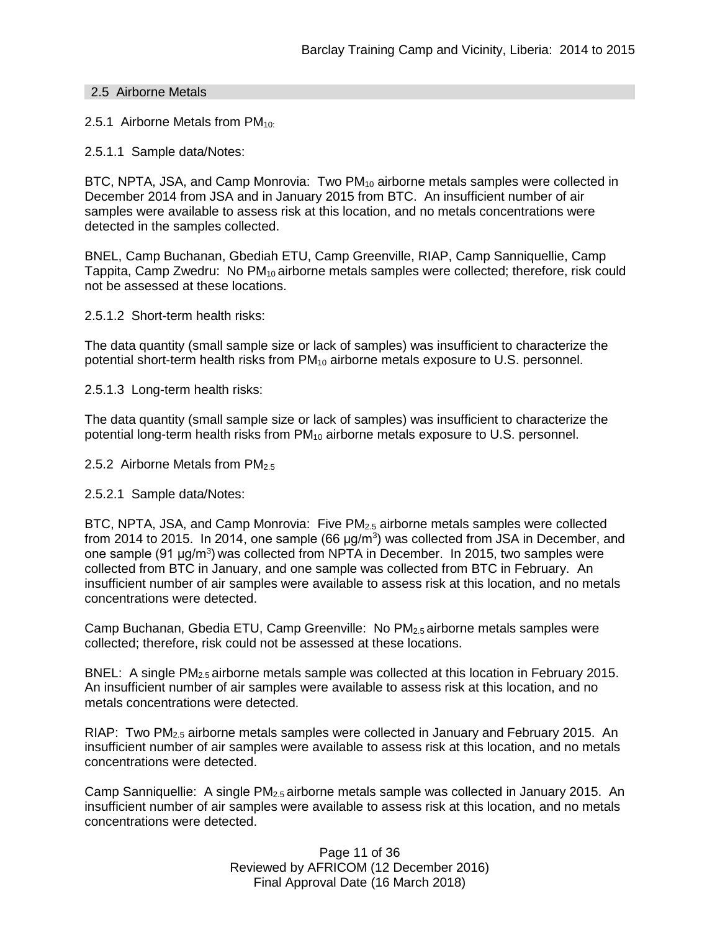### 2.5 Airborne Metals

2.5.1 Airborne Metals from  $PM_{10}$ :

2.5.1.1 Sample data/Notes:

BTC, NPTA, JSA, and Camp Monrovia: Two PM<sub>10</sub> airborne metals samples were collected in December 2014 from JSA and in January 2015 from BTC. An insufficient number of air samples were available to assess risk at this location, and no metals concentrations were detected in the samples collected.

BNEL, Camp Buchanan, Gbediah ETU, Camp Greenville, RIAP, Camp Sanniquellie, Camp Tappita, Camp Zwedru: No PM<sub>10</sub> airborne metals samples were collected; therefore, risk could not be assessed at these locations.

2.5.1.2 Short-term health risks:

The data quantity (small sample size or lack of samples) was insufficient to characterize the potential short-term health risks from  $PM_{10}$  airborne metals exposure to U.S. personnel.

2.5.1.3 Long-term health risks:

The data quantity (small sample size or lack of samples) was insufficient to characterize the potential long-term health risks from  $PM_{10}$  airborne metals exposure to U.S. personnel.

2.5.2 Airborne Metals from PM<sub>2.5</sub>

2.5.2.1 Sample data/Notes:

BTC, NPTA, JSA, and Camp Monrovia: Five PM<sub>2.5</sub> airborne metals samples were collected from 2014 to 2015. In 2014, one sample (66  $\mu$ g/m<sup>3</sup>) was collected from JSA in December, and one sample (91 μg/m<sup>3</sup>) was collected from NPTA in December. In 2015, two samples were collected from BTC in January, and one sample was collected from BTC in February. An insufficient number of air samples were available to assess risk at this location, and no metals concentrations were detected.

Camp Buchanan, Gbedia ETU, Camp Greenville: No PM2.5 airborne metals samples were collected; therefore, risk could not be assessed at these locations.

BNEL: A single PM<sub>2.5</sub> airborne metals sample was collected at this location in February 2015. An insufficient number of air samples were available to assess risk at this location, and no metals concentrations were detected.

RIAP: Two  $PM_{2.5}$  airborne metals samples were collected in January and February 2015. An insufficient number of air samples were available to assess risk at this location, and no metals concentrations were detected.

Camp Sanniquellie: A single PM2.5 airborne metals sample was collected in January 2015. An insufficient number of air samples were available to assess risk at this location, and no metals concentrations were detected.

> Page 11 of 36 Reviewed by AFRICOM (12 December 2016) Final Approval Date (16 March 2018)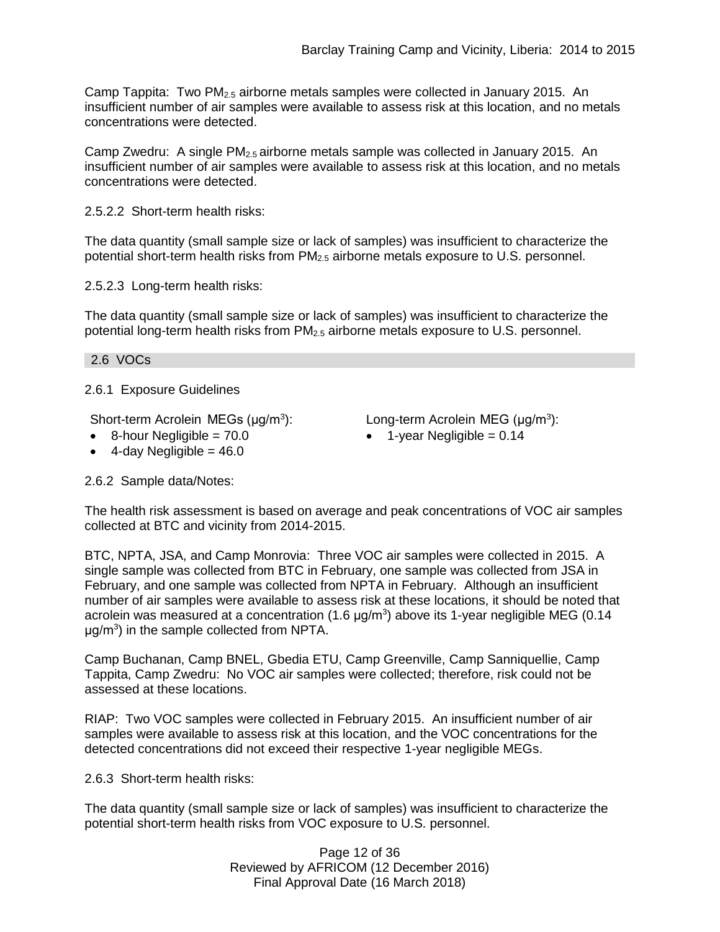Camp Tappita: Two  $PM_{2.5}$  airborne metals samples were collected in January 2015. An insufficient number of air samples were available to assess risk at this location, and no metals concentrations were detected.

Camp Zwedru: A single  $PM_{2.5}$  airborne metals sample was collected in January 2015. An insufficient number of air samples were available to assess risk at this location, and no metals concentrations were detected.

2.5.2.2 Short-term health risks:

The data quantity (small sample size or lack of samples) was insufficient to characterize the potential short-term health risks from  $PM_{2.5}$  airborne metals exposure to U.S. personnel.

2.5.2.3 Long-term health risks:

The data quantity (small sample size or lack of samples) was insufficient to characterize the potential long-term health risks from  $PM<sub>2.5</sub>$  airborne metals exposure to U.S. personnel.

2.6 VOCs

2.6.1 Exposure Guidelines

Short-term Acrolein MEGs (μg/m<sup>3</sup>):

- $\bullet$  8-hour Negligible = 70.0
- $\bullet$  4-day Negligible = 46.0

Long-term Acrolein MEG (μg/m<sup>3</sup>):

 $\bullet$  1-year Negligible = 0.14

2.6.2 Sample data/Notes:

The health risk assessment is based on average and peak concentrations of VOC air samples collected at BTC and vicinity from 2014-2015.

BTC, NPTA, JSA, and Camp Monrovia: Three VOC air samples were collected in 2015. A single sample was collected from BTC in February, one sample was collected from JSA in February, and one sample was collected from NPTA in February. Although an insufficient number of air samples were available to assess risk at these locations, it should be noted that acrolein was measured at a concentration (1.6  $\mu$ g/m<sup>3</sup>) above its 1-year negligible MEG (0.14  $\mu$ g/m<sup>3</sup>) in the sample collected from NPTA.

Camp Buchanan, Camp BNEL, Gbedia ETU, Camp Greenville, Camp Sanniquellie, Camp Tappita, Camp Zwedru: No VOC air samples were collected; therefore, risk could not be assessed at these locations.

RIAP: Two VOC samples were collected in February 2015. An insufficient number of air samples were available to assess risk at this location, and the VOC concentrations for the detected concentrations did not exceed their respective 1-year negligible MEGs.

2.6.3 Short-term health risks:

The data quantity (small sample size or lack of samples) was insufficient to characterize the potential short-term health risks from VOC exposure to U.S. personnel.

> Page 12 of 36 Reviewed by AFRICOM (12 December 2016) Final Approval Date (16 March 2018)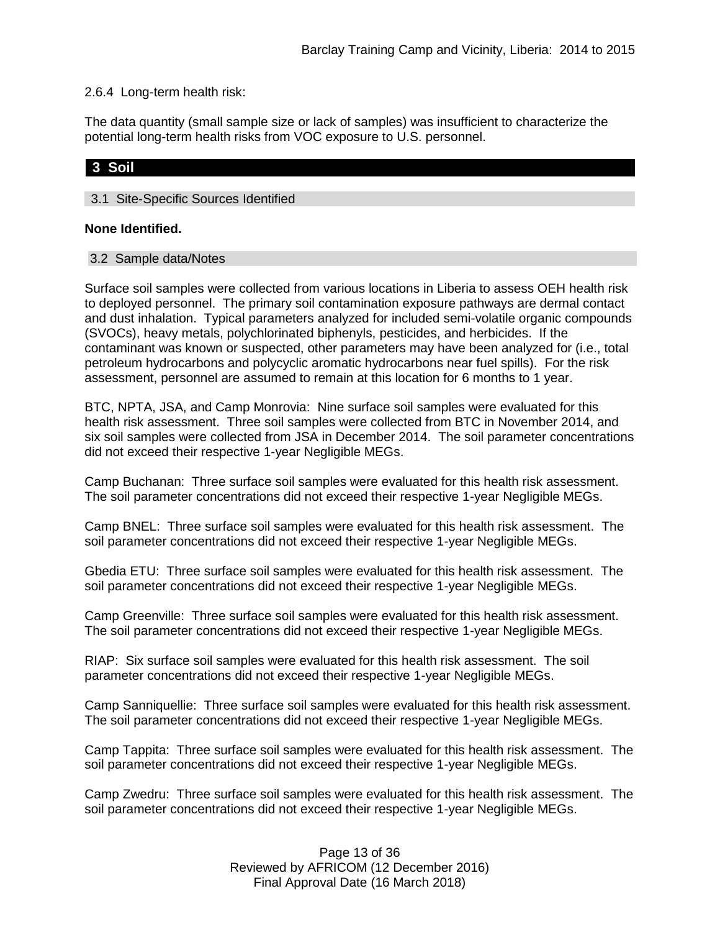### 2.6.4 Long-term health risk:

The data quantity (small sample size or lack of samples) was insufficient to characterize the potential long-term health risks from VOC exposure to U.S. personnel.

# **3 Soil**

## 3.1 Site-Specific Sources Identified

### **None Identified.**

#### 3.2 Sample data/Notes

Surface soil samples were collected from various locations in Liberia to assess OEH health risk to deployed personnel. The primary soil contamination exposure pathways are dermal contact and dust inhalation. Typical parameters analyzed for included semi-volatile organic compounds (SVOCs), heavy metals, polychlorinated biphenyls, pesticides, and herbicides. If the contaminant was known or suspected, other parameters may have been analyzed for (i.e., total petroleum hydrocarbons and polycyclic aromatic hydrocarbons near fuel spills). For the risk assessment, personnel are assumed to remain at this location for 6 months to 1 year.

BTC, NPTA, JSA, and Camp Monrovia: Nine surface soil samples were evaluated for this health risk assessment. Three soil samples were collected from BTC in November 2014, and six soil samples were collected from JSA in December 2014. The soil parameter concentrations did not exceed their respective 1-year Negligible MEGs.

Camp Buchanan: Three surface soil samples were evaluated for this health risk assessment. The soil parameter concentrations did not exceed their respective 1-year Negligible MEGs.

Camp BNEL: Three surface soil samples were evaluated for this health risk assessment. The soil parameter concentrations did not exceed their respective 1-year Negligible MEGs.

Gbedia ETU: Three surface soil samples were evaluated for this health risk assessment. The soil parameter concentrations did not exceed their respective 1-year Negligible MEGs.

Camp Greenville: Three surface soil samples were evaluated for this health risk assessment. The soil parameter concentrations did not exceed their respective 1-year Negligible MEGs.

RIAP: Six surface soil samples were evaluated for this health risk assessment. The soil parameter concentrations did not exceed their respective 1-year Negligible MEGs.

Camp Sanniquellie: Three surface soil samples were evaluated for this health risk assessment. The soil parameter concentrations did not exceed their respective 1-year Negligible MEGs.

Camp Tappita: Three surface soil samples were evaluated for this health risk assessment. The soil parameter concentrations did not exceed their respective 1-year Negligible MEGs.

Camp Zwedru: Three surface soil samples were evaluated for this health risk assessment. The soil parameter concentrations did not exceed their respective 1-year Negligible MEGs.

> Page 13 of 36 Reviewed by AFRICOM (12 December 2016) Final Approval Date (16 March 2018)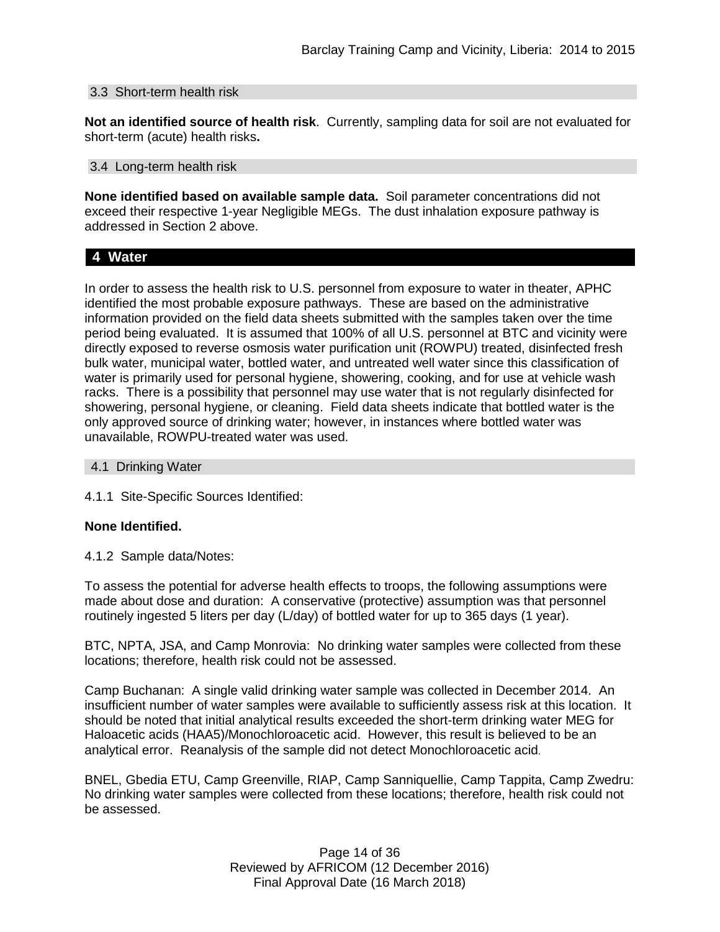#### 3.3 Short-term health risk

**Not an identified source of health risk**. Currently, sampling data for soil are not evaluated for short-term (acute) health risks**.**

#### 3.4 Long-term health risk

**None identified based on available sample data.** Soil parameter concentrations did not exceed their respective 1-year Negligible MEGs. The dust inhalation exposure pathway is addressed in Section 2 above.

### **4 Water**

In order to assess the health risk to U.S. personnel from exposure to water in theater, APHC identified the most probable exposure pathways. These are based on the administrative information provided on the field data sheets submitted with the samples taken over the time period being evaluated. It is assumed that 100% of all U.S. personnel at BTC and vicinity were directly exposed to reverse osmosis water purification unit (ROWPU) treated, disinfected fresh bulk water, municipal water, bottled water, and untreated well water since this classification of water is primarily used for personal hygiene, showering, cooking, and for use at vehicle wash racks. There is a possibility that personnel may use water that is not regularly disinfected for showering, personal hygiene, or cleaning. Field data sheets indicate that bottled water is the only approved source of drinking water; however, in instances where bottled water was unavailable, ROWPU-treated water was used.

#### 4.1 Drinking Water

4.1.1 Site-Specific Sources Identified:

#### **None Identified.**

4.1.2 Sample data/Notes:

To assess the potential for adverse health effects to troops, the following assumptions were made about dose and duration: A conservative (protective) assumption was that personnel routinely ingested 5 liters per day (L/day) of bottled water for up to 365 days (1 year).

BTC, NPTA, JSA, and Camp Monrovia: No drinking water samples were collected from these locations; therefore, health risk could not be assessed.

Camp Buchanan: A single valid drinking water sample was collected in December 2014. An insufficient number of water samples were available to sufficiently assess risk at this location. It should be noted that initial analytical results exceeded the short-term drinking water MEG for Haloacetic acids (HAA5)/Monochloroacetic acid. However, this result is believed to be an analytical error. Reanalysis of the sample did not detect Monochloroacetic acid.

BNEL, Gbedia ETU, Camp Greenville, RIAP, Camp Sanniquellie, Camp Tappita, Camp Zwedru: No drinking water samples were collected from these locations; therefore, health risk could not be assessed.

> Page 14 of 36 Reviewed by AFRICOM (12 December 2016) Final Approval Date (16 March 2018)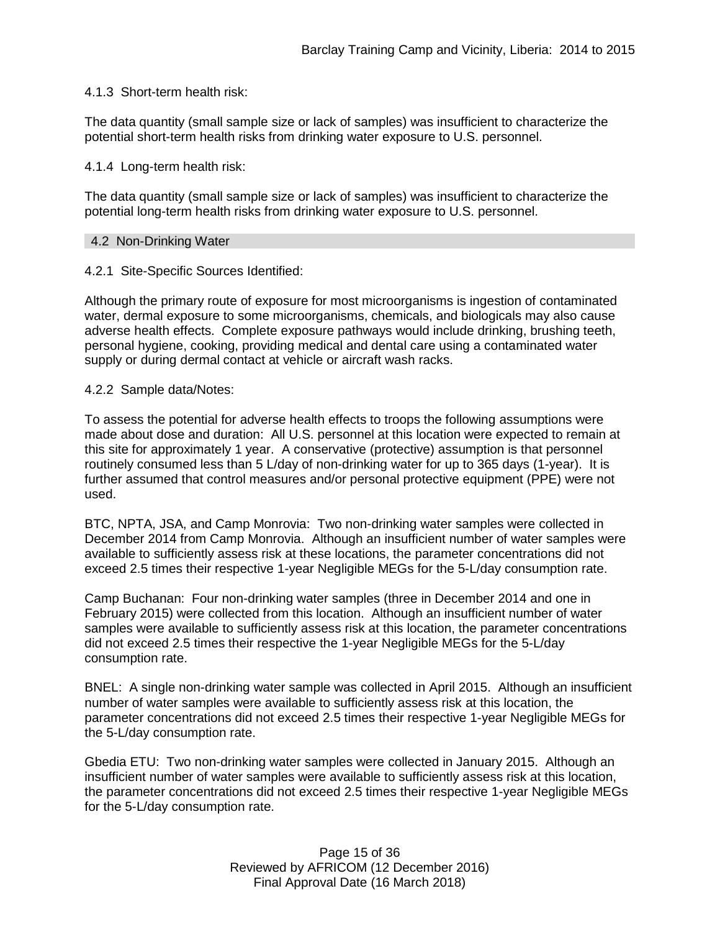### 4.1.3 Short-term health risk:

The data quantity (small sample size or lack of samples) was insufficient to characterize the potential short-term health risks from drinking water exposure to U.S. personnel.

#### 4.1.4 Long-term health risk:

The data quantity (small sample size or lack of samples) was insufficient to characterize the potential long-term health risks from drinking water exposure to U.S. personnel.

#### 4.2 Non-Drinking Water

## 4.2.1 Site-Specific Sources Identified:

Although the primary route of exposure for most microorganisms is ingestion of contaminated water, dermal exposure to some microorganisms, chemicals, and biologicals may also cause adverse health effects. Complete exposure pathways would include drinking, brushing teeth, personal hygiene, cooking, providing medical and dental care using a contaminated water supply or during dermal contact at vehicle or aircraft wash racks.

### 4.2.2 Sample data/Notes:

To assess the potential for adverse health effects to troops the following assumptions were made about dose and duration: All U.S. personnel at this location were expected to remain at this site for approximately 1 year. A conservative (protective) assumption is that personnel routinely consumed less than 5 L/day of non-drinking water for up to 365 days (1-year). It is further assumed that control measures and/or personal protective equipment (PPE) were not used.

BTC, NPTA, JSA, and Camp Monrovia: Two non-drinking water samples were collected in December 2014 from Camp Monrovia. Although an insufficient number of water samples were available to sufficiently assess risk at these locations, the parameter concentrations did not exceed 2.5 times their respective 1-year Negligible MEGs for the 5-L/day consumption rate.

Camp Buchanan: Four non-drinking water samples (three in December 2014 and one in February 2015) were collected from this location. Although an insufficient number of water samples were available to sufficiently assess risk at this location, the parameter concentrations did not exceed 2.5 times their respective the 1-year Negligible MEGs for the 5-L/day consumption rate.

BNEL: A single non-drinking water sample was collected in April 2015. Although an insufficient number of water samples were available to sufficiently assess risk at this location, the parameter concentrations did not exceed 2.5 times their respective 1-year Negligible MEGs for the 5-L/day consumption rate.

Gbedia ETU: Two non-drinking water samples were collected in January 2015. Although an insufficient number of water samples were available to sufficiently assess risk at this location, the parameter concentrations did not exceed 2.5 times their respective 1-year Negligible MEGs for the 5-L/day consumption rate.

> Page 15 of 36 Reviewed by AFRICOM (12 December 2016) Final Approval Date (16 March 2018)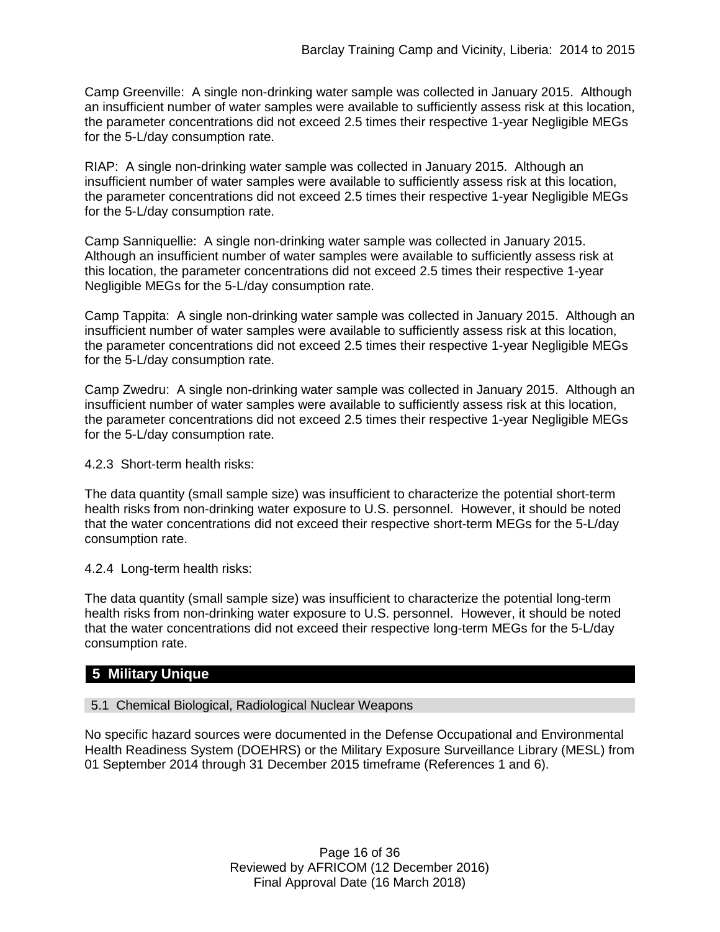Camp Greenville: A single non-drinking water sample was collected in January 2015. Although an insufficient number of water samples were available to sufficiently assess risk at this location, the parameter concentrations did not exceed 2.5 times their respective 1-year Negligible MEGs for the 5-L/day consumption rate.

RIAP: A single non-drinking water sample was collected in January 2015. Although an insufficient number of water samples were available to sufficiently assess risk at this location, the parameter concentrations did not exceed 2.5 times their respective 1-year Negligible MEGs for the 5-L/day consumption rate.

Camp Sanniquellie: A single non-drinking water sample was collected in January 2015. Although an insufficient number of water samples were available to sufficiently assess risk at this location, the parameter concentrations did not exceed 2.5 times their respective 1-year Negligible MEGs for the 5-L/day consumption rate.

Camp Tappita: A single non-drinking water sample was collected in January 2015. Although an insufficient number of water samples were available to sufficiently assess risk at this location, the parameter concentrations did not exceed 2.5 times their respective 1-year Negligible MEGs for the 5-L/day consumption rate.

Camp Zwedru: A single non-drinking water sample was collected in January 2015. Although an insufficient number of water samples were available to sufficiently assess risk at this location, the parameter concentrations did not exceed 2.5 times their respective 1-year Negligible MEGs for the 5-L/day consumption rate.

4.2.3 Short-term health risks:

The data quantity (small sample size) was insufficient to characterize the potential short-term health risks from non-drinking water exposure to U.S. personnel. However, it should be noted that the water concentrations did not exceed their respective short-term MEGs for the 5-L/day consumption rate.

4.2.4 Long-term health risks:

The data quantity (small sample size) was insufficient to characterize the potential long-term health risks from non-drinking water exposure to U.S. personnel. However, it should be noted that the water concentrations did not exceed their respective long-term MEGs for the 5-L/day consumption rate.

# **5 Military Unique**

5.1 Chemical Biological, Radiological Nuclear Weapons

No specific hazard sources were documented in the Defense Occupational and Environmental Health Readiness System (DOEHRS) or the Military Exposure Surveillance Library (MESL) from 01 September 2014 through 31 December 2015 timeframe (References 1 and 6).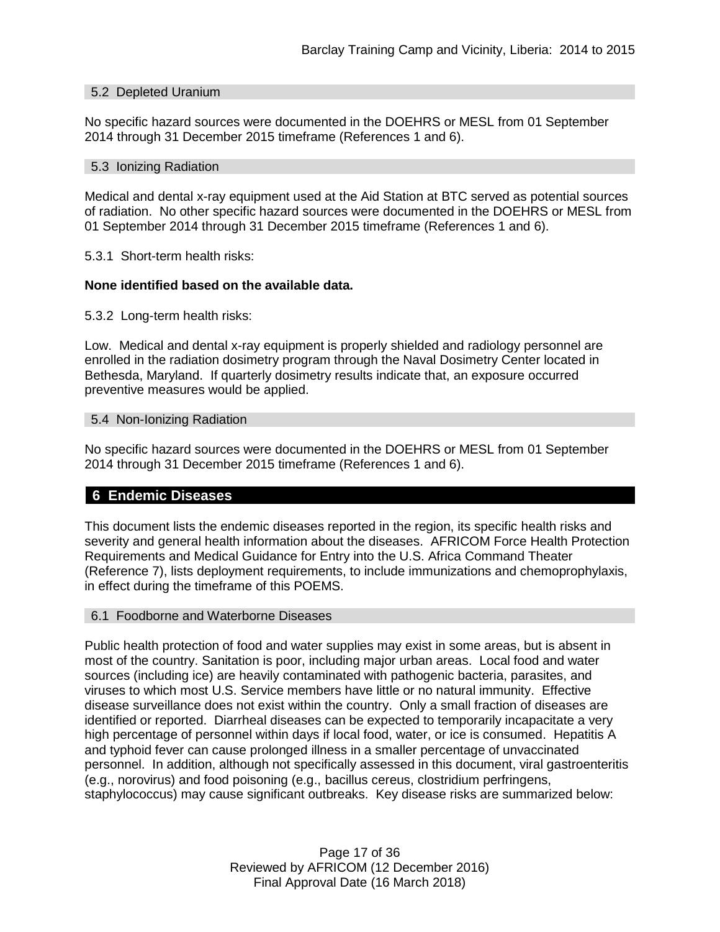#### 5.2 Depleted Uranium

No specific hazard sources were documented in the DOEHRS or MESL from 01 September 2014 through 31 December 2015 timeframe (References 1 and 6).

#### 5.3 Ionizing Radiation

Medical and dental x-ray equipment used at the Aid Station at BTC served as potential sources of radiation. No other specific hazard sources were documented in the DOEHRS or MESL from 01 September 2014 through 31 December 2015 timeframe (References 1 and 6).

5.3.1 Short-term health risks:

#### **None identified based on the available data.**

5.3.2 Long-term health risks:

Low. Medical and dental x-ray equipment is properly shielded and radiology personnel are enrolled in the radiation dosimetry program through the Naval Dosimetry Center located in Bethesda, Maryland. If quarterly dosimetry results indicate that, an exposure occurred preventive measures would be applied.

#### 5.4 Non-Ionizing Radiation

No specific hazard sources were documented in the DOEHRS or MESL from 01 September 2014 through 31 December 2015 timeframe (References 1 and 6).

#### **6 Endemic Diseases**

This document lists the endemic diseases reported in the region, its specific health risks and severity and general health information about the diseases. AFRICOM Force Health Protection Requirements and Medical Guidance for Entry into the U.S. Africa Command Theater (Reference 7), lists deployment requirements, to include immunizations and chemoprophylaxis, in effect during the timeframe of this POEMS.

#### 6.1 Foodborne and Waterborne Diseases

Public health protection of food and water supplies may exist in some areas, but is absent in most of the country. Sanitation is poor, including major urban areas. Local food and water sources (including ice) are heavily contaminated with pathogenic bacteria, parasites, and viruses to which most U.S. Service members have little or no natural immunity. Effective disease surveillance does not exist within the country. Only a small fraction of diseases are identified or reported. Diarrheal diseases can be expected to temporarily incapacitate a very high percentage of personnel within days if local food, water, or ice is consumed. Hepatitis A and typhoid fever can cause prolonged illness in a smaller percentage of unvaccinated personnel. In addition, although not specifically assessed in this document, viral gastroenteritis (e.g., norovirus) and food poisoning (e.g., bacillus cereus, clostridium perfringens, staphylococcus) may cause significant outbreaks. Key disease risks are summarized below:

> Page 17 of 36 Reviewed by AFRICOM (12 December 2016) Final Approval Date (16 March 2018)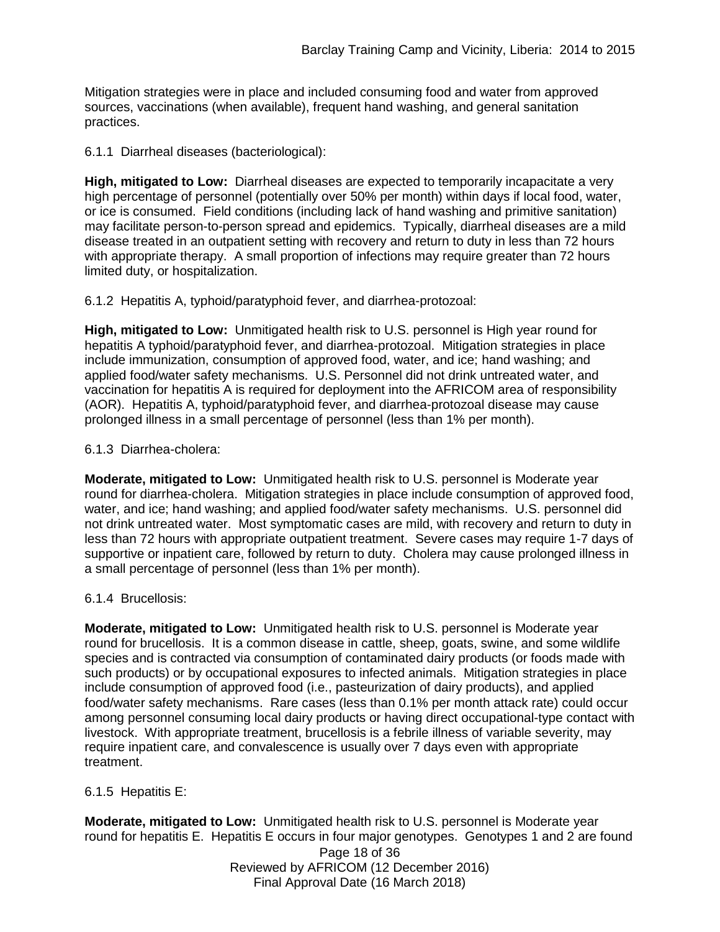Mitigation strategies were in place and included consuming food and water from approved sources, vaccinations (when available), frequent hand washing, and general sanitation practices.

6.1.1 Diarrheal diseases (bacteriological):

**High, mitigated to Low:** Diarrheal diseases are expected to temporarily incapacitate a very high percentage of personnel (potentially over 50% per month) within days if local food, water, or ice is consumed. Field conditions (including lack of hand washing and primitive sanitation) may facilitate person-to-person spread and epidemics. Typically, diarrheal diseases are a mild disease treated in an outpatient setting with recovery and return to duty in less than 72 hours with appropriate therapy. A small proportion of infections may require greater than 72 hours limited duty, or hospitalization.

6.1.2 Hepatitis A, typhoid/paratyphoid fever, and diarrhea-protozoal:

**High, mitigated to Low:** Unmitigated health risk to U.S. personnel is High year round for hepatitis A typhoid/paratyphoid fever, and diarrhea-protozoal. Mitigation strategies in place include immunization, consumption of approved food, water, and ice; hand washing; and applied food/water safety mechanisms. U.S. Personnel did not drink untreated water, and vaccination for hepatitis A is required for deployment into the AFRICOM area of responsibility (AOR). Hepatitis A, typhoid/paratyphoid fever, and diarrhea-protozoal disease may cause prolonged illness in a small percentage of personnel (less than 1% per month).

6.1.3 Diarrhea-cholera:

**Moderate, mitigated to Low:** Unmitigated health risk to U.S. personnel is Moderate year round for diarrhea-cholera. Mitigation strategies in place include consumption of approved food, water, and ice; hand washing; and applied food/water safety mechanisms. U.S. personnel did not drink untreated water. Most symptomatic cases are mild, with recovery and return to duty in less than 72 hours with appropriate outpatient treatment. Severe cases may require 1-7 days of supportive or inpatient care, followed by return to duty. Cholera may cause prolonged illness in a small percentage of personnel (less than 1% per month).

## 6.1.4 Brucellosis:

**Moderate, mitigated to Low:** Unmitigated health risk to U.S. personnel is Moderate year round for brucellosis. It is a common disease in cattle, sheep, goats, swine, and some wildlife species and is contracted via consumption of contaminated dairy products (or foods made with such products) or by occupational exposures to infected animals. Mitigation strategies in place include consumption of approved food (i.e., pasteurization of dairy products), and applied food/water safety mechanisms. Rare cases (less than 0.1% per month attack rate) could occur among personnel consuming local dairy products or having direct occupational-type contact with livestock. With appropriate treatment, brucellosis is a febrile illness of variable severity, may require inpatient care, and convalescence is usually over 7 days even with appropriate treatment.

6.1.5 Hepatitis E:

**Moderate, mitigated to Low:** Unmitigated health risk to U.S. personnel is Moderate year round for hepatitis E. Hepatitis E occurs in four major genotypes. Genotypes 1 and 2 are found

Page 18 of 36 Reviewed by AFRICOM (12 December 2016) Final Approval Date (16 March 2018)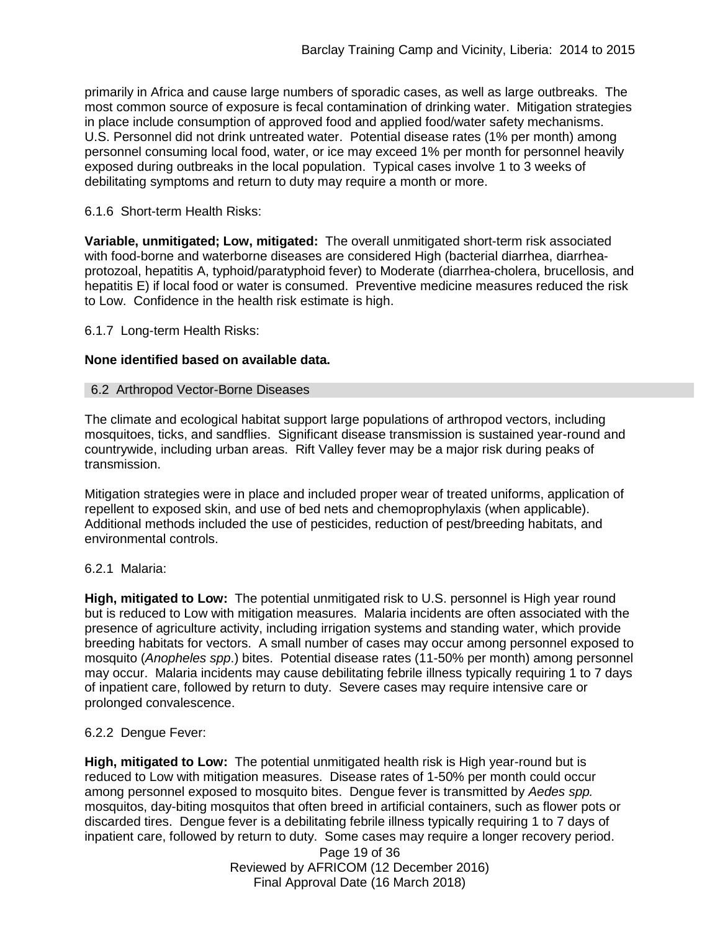primarily in Africa and cause large numbers of sporadic cases, as well as large outbreaks. The most common source of exposure is fecal contamination of drinking water. Mitigation strategies in place include consumption of approved food and applied food/water safety mechanisms. U.S. Personnel did not drink untreated water. Potential disease rates (1% per month) among personnel consuming local food, water, or ice may exceed 1% per month for personnel heavily exposed during outbreaks in the local population. Typical cases involve 1 to 3 weeks of debilitating symptoms and return to duty may require a month or more.

### 6.1.6 Short-term Health Risks:

**Variable, unmitigated; Low, mitigated:** The overall unmitigated short-term risk associated with food-borne and waterborne diseases are considered High (bacterial diarrhea, diarrheaprotozoal, hepatitis A, typhoid/paratyphoid fever) to Moderate (diarrhea-cholera, brucellosis, and hepatitis E) if local food or water is consumed. Preventive medicine measures reduced the risk to Low. Confidence in the health risk estimate is high.

6.1.7 Long-term Health Risks:

### **None identified based on available data.**

#### 6.2 Arthropod Vector-Borne Diseases

The climate and ecological habitat support large populations of arthropod vectors, including mosquitoes, ticks, and sandflies. Significant disease transmission is sustained year-round and countrywide, including urban areas. Rift Valley fever may be a major risk during peaks of transmission.

Mitigation strategies were in place and included proper wear of treated uniforms, application of repellent to exposed skin, and use of bed nets and chemoprophylaxis (when applicable). Additional methods included the use of pesticides, reduction of pest/breeding habitats, and environmental controls.

## 6.2.1 Malaria:

**High, mitigated to Low:** The potential unmitigated risk to U.S. personnel is High year round but is reduced to Low with mitigation measures. Malaria incidents are often associated with the presence of agriculture activity, including irrigation systems and standing water, which provide breeding habitats for vectors. A small number of cases may occur among personnel exposed to mosquito (*Anopheles spp*.) bites. Potential disease rates (11-50% per month) among personnel may occur. Malaria incidents may cause debilitating febrile illness typically requiring 1 to 7 days of inpatient care, followed by return to duty. Severe cases may require intensive care or prolonged convalescence.

## 6.2.2 Dengue Fever:

**High, mitigated to Low:** The potential unmitigated health risk is High year-round but is reduced to Low with mitigation measures. Disease rates of 1-50% per month could occur among personnel exposed to mosquito bites. Dengue fever is transmitted by *Aedes spp.* mosquitos, day-biting mosquitos that often breed in artificial containers, such as flower pots or discarded tires. Dengue fever is a debilitating febrile illness typically requiring 1 to 7 days of inpatient care, followed by return to duty. Some cases may require a longer recovery period.

> Page 19 of 36 Reviewed by AFRICOM (12 December 2016) Final Approval Date (16 March 2018)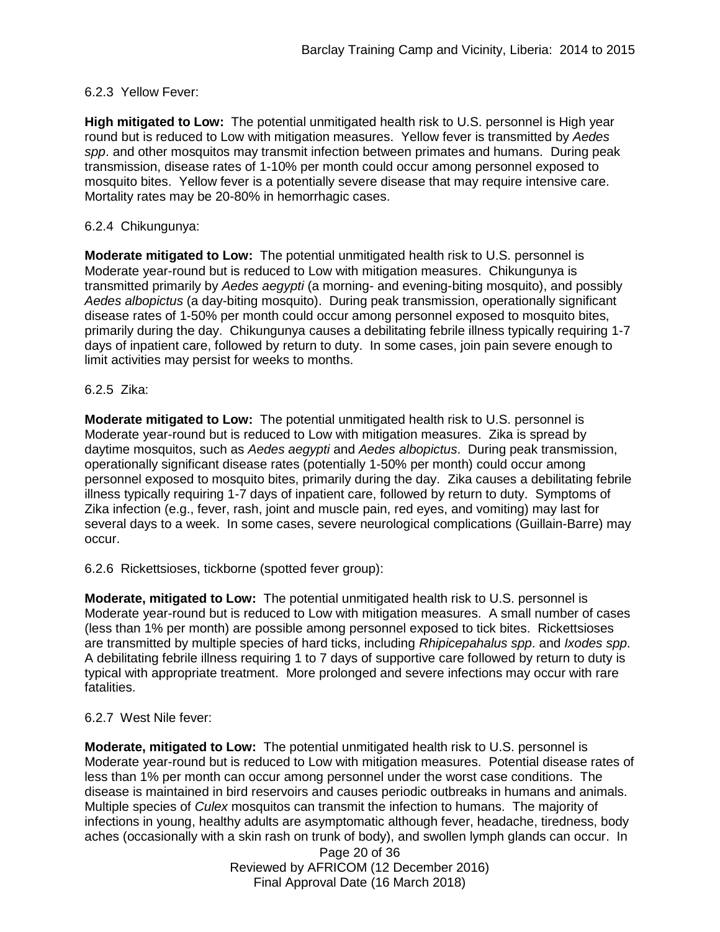## 6.2.3 Yellow Fever:

**High mitigated to Low:** The potential unmitigated health risk to U.S. personnel is High year round but is reduced to Low with mitigation measures. Yellow fever is transmitted by *Aedes spp*. and other mosquitos may transmit infection between primates and humans. During peak transmission, disease rates of 1-10% per month could occur among personnel exposed to mosquito bites. Yellow fever is a potentially severe disease that may require intensive care. Mortality rates may be 20-80% in hemorrhagic cases.

### 6.2.4 Chikungunya:

**Moderate mitigated to Low:** The potential unmitigated health risk to U.S. personnel is Moderate year-round but is reduced to Low with mitigation measures. Chikungunya is transmitted primarily by *Aedes aegypti* (a morning- and evening-biting mosquito), and possibly *Aedes albopictus* (a day-biting mosquito). During peak transmission, operationally significant disease rates of 1-50% per month could occur among personnel exposed to mosquito bites, primarily during the day. Chikungunya causes a debilitating febrile illness typically requiring 1-7 days of inpatient care, followed by return to duty. In some cases, join pain severe enough to limit activities may persist for weeks to months.

### 6.2.5 Zika:

**Moderate mitigated to Low:** The potential unmitigated health risk to U.S. personnel is Moderate year-round but is reduced to Low with mitigation measures. Zika is spread by daytime mosquitos, such as *Aedes aegypti* and *Aedes albopictus*. During peak transmission, operationally significant disease rates (potentially 1-50% per month) could occur among personnel exposed to mosquito bites, primarily during the day. Zika causes a debilitating febrile illness typically requiring 1-7 days of inpatient care, followed by return to duty. Symptoms of Zika infection (e.g., fever, rash, joint and muscle pain, red eyes, and vomiting) may last for several days to a week. In some cases, severe neurological complications (Guillain-Barre) may occur.

6.2.6 Rickettsioses, tickborne (spotted fever group):

**Moderate, mitigated to Low:** The potential unmitigated health risk to U.S. personnel is Moderate year-round but is reduced to Low with mitigation measures. A small number of cases (less than 1% per month) are possible among personnel exposed to tick bites. Rickettsioses are transmitted by multiple species of hard ticks, including *Rhipicepahalus spp*. and *Ixodes spp*. A debilitating febrile illness requiring 1 to 7 days of supportive care followed by return to duty is typical with appropriate treatment. More prolonged and severe infections may occur with rare fatalities.

## 6.2.7 West Nile fever:

**Moderate, mitigated to Low:** The potential unmitigated health risk to U.S. personnel is Moderate year-round but is reduced to Low with mitigation measures. Potential disease rates of less than 1% per month can occur among personnel under the worst case conditions. The disease is maintained in bird reservoirs and causes periodic outbreaks in humans and animals. Multiple species of *Culex* mosquitos can transmit the infection to humans. The majority of infections in young, healthy adults are asymptomatic although fever, headache, tiredness, body aches (occasionally with a skin rash on trunk of body), and swollen lymph glands can occur. In

> Page 20 of 36 Reviewed by AFRICOM (12 December 2016) Final Approval Date (16 March 2018)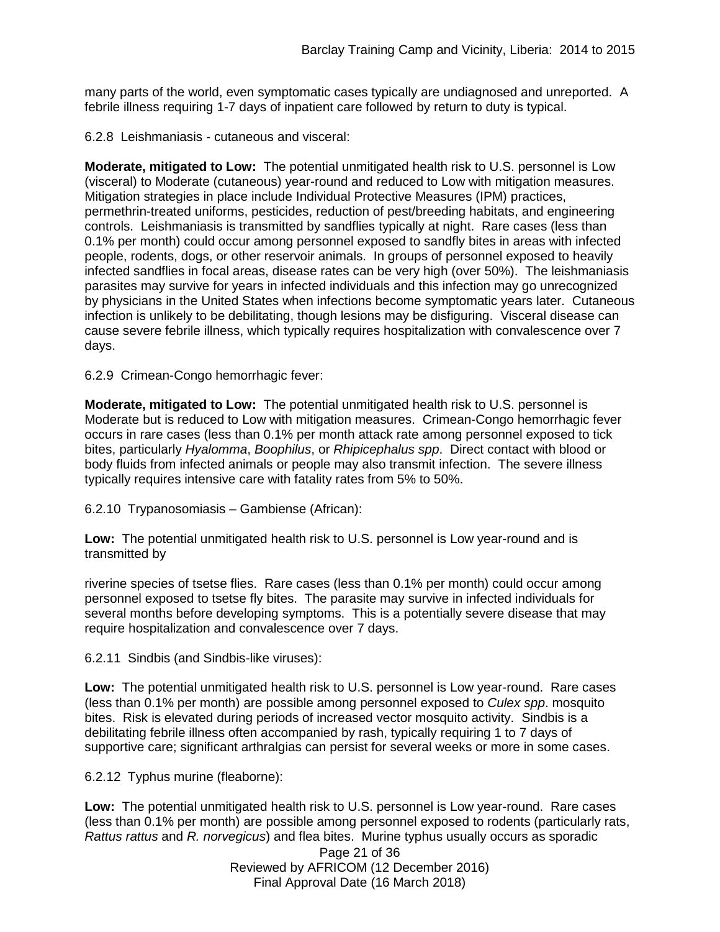many parts of the world, even symptomatic cases typically are undiagnosed and unreported. A febrile illness requiring 1-7 days of inpatient care followed by return to duty is typical.

6.2.8 Leishmaniasis - cutaneous and visceral:

**Moderate, mitigated to Low:** The potential unmitigated health risk to U.S. personnel is Low (visceral) to Moderate (cutaneous) year-round and reduced to Low with mitigation measures. Mitigation strategies in place include Individual Protective Measures (IPM) practices, permethrin-treated uniforms, pesticides, reduction of pest/breeding habitats, and engineering controls. Leishmaniasis is transmitted by sandflies typically at night. Rare cases (less than 0.1% per month) could occur among personnel exposed to sandfly bites in areas with infected people, rodents, dogs, or other reservoir animals. In groups of personnel exposed to heavily infected sandflies in focal areas, disease rates can be very high (over 50%). The leishmaniasis parasites may survive for years in infected individuals and this infection may go unrecognized by physicians in the United States when infections become symptomatic years later. Cutaneous infection is unlikely to be debilitating, though lesions may be disfiguring. Visceral disease can cause severe febrile illness, which typically requires hospitalization with convalescence over 7 days.

6.2.9 Crimean-Congo hemorrhagic fever:

**Moderate, mitigated to Low:** The potential unmitigated health risk to U.S. personnel is Moderate but is reduced to Low with mitigation measures. Crimean-Congo hemorrhagic fever occurs in rare cases (less than 0.1% per month attack rate among personnel exposed to tick bites, particularly *Hyalomma*, *Boophilus*, or *Rhipicephalus spp*. Direct contact with blood or body fluids from infected animals or people may also transmit infection. The severe illness typically requires intensive care with fatality rates from 5% to 50%.

6.2.10 Trypanosomiasis – Gambiense (African):

**Low:** The potential unmitigated health risk to U.S. personnel is Low year-round and is transmitted by

riverine species of tsetse flies. Rare cases (less than 0.1% per month) could occur among personnel exposed to tsetse fly bites. The parasite may survive in infected individuals for several months before developing symptoms. This is a potentially severe disease that may require hospitalization and convalescence over 7 days.

6.2.11 Sindbis (and Sindbis-like viruses):

**Low:** The potential unmitigated health risk to U.S. personnel is Low year-round. Rare cases (less than 0.1% per month) are possible among personnel exposed to *Culex spp*. mosquito bites. Risk is elevated during periods of increased vector mosquito activity. Sindbis is a debilitating febrile illness often accompanied by rash, typically requiring 1 to 7 days of supportive care; significant arthralgias can persist for several weeks or more in some cases.

6.2.12 Typhus murine (fleaborne):

**Low:** The potential unmitigated health risk to U.S. personnel is Low year-round. Rare cases (less than 0.1% per month) are possible among personnel exposed to rodents (particularly rats, *Rattus rattus* and *R. norvegicus*) and flea bites. Murine typhus usually occurs as sporadic

Page 21 of 36 Reviewed by AFRICOM (12 December 2016) Final Approval Date (16 March 2018)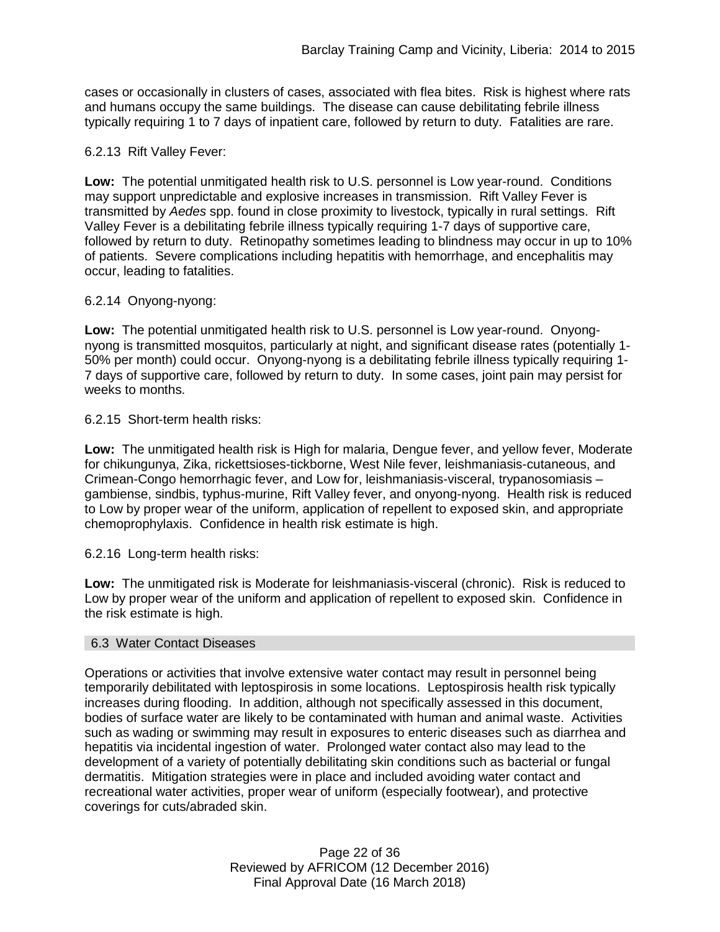cases or occasionally in clusters of cases, associated with flea bites. Risk is highest where rats and humans occupy the same buildings. The disease can cause debilitating febrile illness typically requiring 1 to 7 days of inpatient care, followed by return to duty. Fatalities are rare.

### 6.2.13 Rift Valley Fever:

**Low:** The potential unmitigated health risk to U.S. personnel is Low year-round. Conditions may support unpredictable and explosive increases in transmission. Rift Valley Fever is transmitted by *Aedes* spp. found in close proximity to livestock, typically in rural settings. Rift Valley Fever is a debilitating febrile illness typically requiring 1-7 days of supportive care, followed by return to duty. Retinopathy sometimes leading to blindness may occur in up to 10% of patients. Severe complications including hepatitis with hemorrhage, and encephalitis may occur, leading to fatalities.

### 6.2.14 Onyong-nyong:

**Low:** The potential unmitigated health risk to U.S. personnel is Low year-round. Onyongnyong is transmitted mosquitos, particularly at night, and significant disease rates (potentially 1- 50% per month) could occur. Onyong-nyong is a debilitating febrile illness typically requiring 1- 7 days of supportive care, followed by return to duty. In some cases, joint pain may persist for weeks to months.

6.2.15 Short-term health risks:

**Low:** The unmitigated health risk is High for malaria, Dengue fever, and yellow fever, Moderate for chikungunya, Zika, rickettsioses-tickborne, West Nile fever, leishmaniasis-cutaneous, and Crimean-Congo hemorrhagic fever, and Low for, leishmaniasis-visceral, trypanosomiasis – gambiense, sindbis, typhus-murine, Rift Valley fever, and onyong-nyong. Health risk is reduced to Low by proper wear of the uniform, application of repellent to exposed skin, and appropriate chemoprophylaxis. Confidence in health risk estimate is high.

6.2.16 Long-term health risks:

**Low:** The unmitigated risk is Moderate for leishmaniasis-visceral (chronic). Risk is reduced to Low by proper wear of the uniform and application of repellent to exposed skin. Confidence in the risk estimate is high.

#### 6.3 Water Contact Diseases

Operations or activities that involve extensive water contact may result in personnel being temporarily debilitated with leptospirosis in some locations. Leptospirosis health risk typically increases during flooding. In addition, although not specifically assessed in this document, bodies of surface water are likely to be contaminated with human and animal waste. Activities such as wading or swimming may result in exposures to enteric diseases such as diarrhea and hepatitis via incidental ingestion of water. Prolonged water contact also may lead to the development of a variety of potentially debilitating skin conditions such as bacterial or fungal dermatitis. Mitigation strategies were in place and included avoiding water contact and recreational water activities, proper wear of uniform (especially footwear), and protective coverings for cuts/abraded skin.

> Page 22 of 36 Reviewed by AFRICOM (12 December 2016) Final Approval Date (16 March 2018)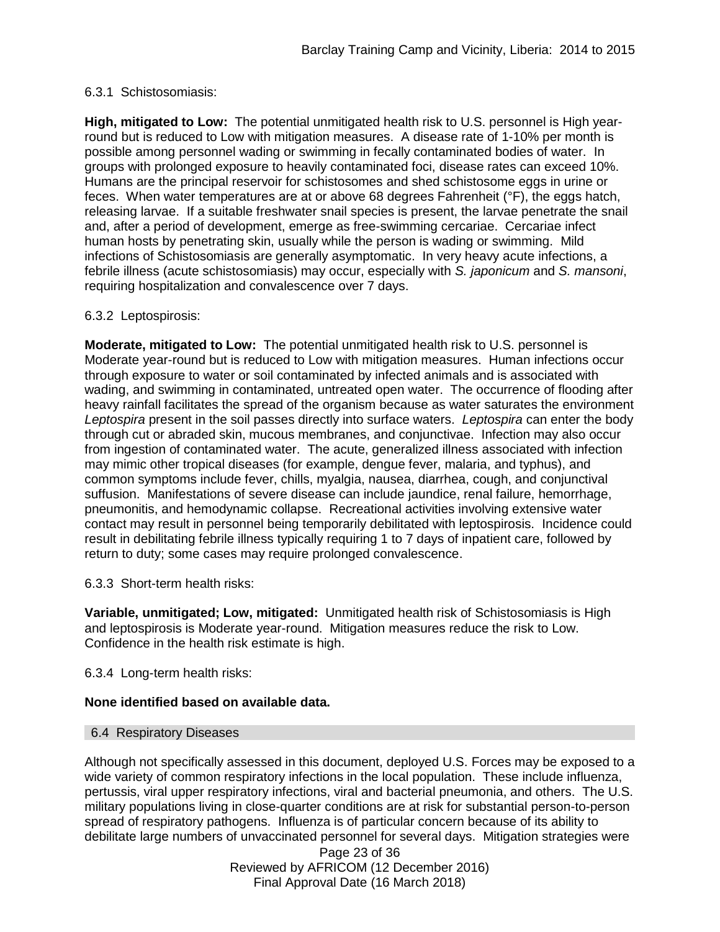### 6.3.1 Schistosomiasis:

**High, mitigated to Low:** The potential unmitigated health risk to U.S. personnel is High yearround but is reduced to Low with mitigation measures. A disease rate of 1-10% per month is possible among personnel wading or swimming in fecally contaminated bodies of water. In groups with prolonged exposure to heavily contaminated foci, disease rates can exceed 10%. Humans are the principal reservoir for schistosomes and shed schistosome eggs in urine or feces. When water temperatures are at or above 68 degrees Fahrenheit (°F), the eggs hatch, releasing larvae. If a suitable freshwater snail species is present, the larvae penetrate the snail and, after a period of development, emerge as free-swimming cercariae. Cercariae infect human hosts by penetrating skin, usually while the person is wading or swimming. Mild infections of Schistosomiasis are generally asymptomatic. In very heavy acute infections, a febrile illness (acute schistosomiasis) may occur, especially with *S. japonicum* and *S. mansoni*, requiring hospitalization and convalescence over 7 days.

### 6.3.2 Leptospirosis:

**Moderate, mitigated to Low:** The potential unmitigated health risk to U.S. personnel is Moderate year-round but is reduced to Low with mitigation measures. Human infections occur through exposure to water or soil contaminated by infected animals and is associated with wading, and swimming in contaminated, untreated open water. The occurrence of flooding after heavy rainfall facilitates the spread of the organism because as water saturates the environment *Leptospira* present in the soil passes directly into surface waters. *Leptospira* can enter the body through cut or abraded skin, mucous membranes, and conjunctivae. Infection may also occur from ingestion of contaminated water. The acute, generalized illness associated with infection may mimic other tropical diseases (for example, dengue fever, malaria, and typhus), and common symptoms include fever, chills, myalgia, nausea, diarrhea, cough, and conjunctival suffusion. Manifestations of severe disease can include jaundice, renal failure, hemorrhage, pneumonitis, and hemodynamic collapse. Recreational activities involving extensive water contact may result in personnel being temporarily debilitated with leptospirosis. Incidence could result in debilitating febrile illness typically requiring 1 to 7 days of inpatient care, followed by return to duty; some cases may require prolonged convalescence.

6.3.3 Short-term health risks:

**Variable, unmitigated; Low, mitigated:** Unmitigated health risk of Schistosomiasis is High and leptospirosis is Moderate year-round. Mitigation measures reduce the risk to Low. Confidence in the health risk estimate is high.

6.3.4 Long-term health risks:

## **None identified based on available data.**

#### 6.4 Respiratory Diseases

Although not specifically assessed in this document, deployed U.S. Forces may be exposed to a wide variety of common respiratory infections in the local population. These include influenza, pertussis, viral upper respiratory infections, viral and bacterial pneumonia, and others. The U.S. military populations living in close-quarter conditions are at risk for substantial person-to-person spread of respiratory pathogens. Influenza is of particular concern because of its ability to debilitate large numbers of unvaccinated personnel for several days. Mitigation strategies were

> Page 23 of 36 Reviewed by AFRICOM (12 December 2016) Final Approval Date (16 March 2018)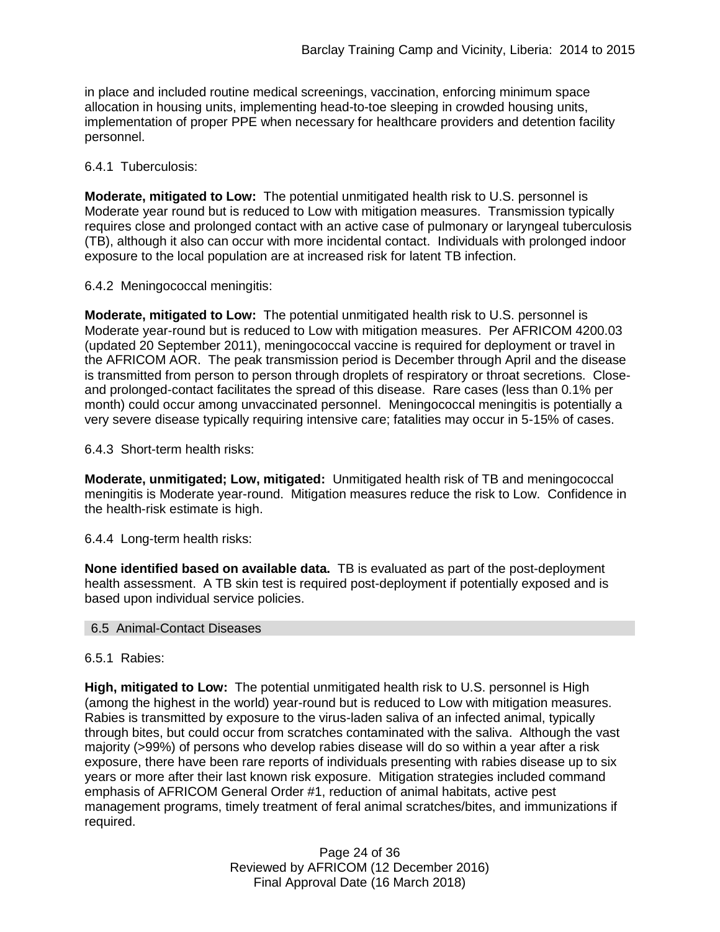in place and included routine medical screenings, vaccination, enforcing minimum space allocation in housing units, implementing head-to-toe sleeping in crowded housing units, implementation of proper PPE when necessary for healthcare providers and detention facility personnel.

### 6.4.1 Tuberculosis:

**Moderate, mitigated to Low:** The potential unmitigated health risk to U.S. personnel is Moderate year round but is reduced to Low with mitigation measures. Transmission typically requires close and prolonged contact with an active case of pulmonary or laryngeal tuberculosis (TB), although it also can occur with more incidental contact. Individuals with prolonged indoor exposure to the local population are at increased risk for latent TB infection.

### 6.4.2 Meningococcal meningitis:

**Moderate, mitigated to Low:** The potential unmitigated health risk to U.S. personnel is Moderate year-round but is reduced to Low with mitigation measures. Per AFRICOM 4200.03 (updated 20 September 2011), meningococcal vaccine is required for deployment or travel in the AFRICOM AOR. The peak transmission period is December through April and the disease is transmitted from person to person through droplets of respiratory or throat secretions. Closeand prolonged-contact facilitates the spread of this disease. Rare cases (less than 0.1% per month) could occur among unvaccinated personnel. Meningococcal meningitis is potentially a very severe disease typically requiring intensive care; fatalities may occur in 5-15% of cases.

6.4.3 Short-term health risks:

**Moderate, unmitigated; Low, mitigated:** Unmitigated health risk of TB and meningococcal meningitis is Moderate year-round. Mitigation measures reduce the risk to Low. Confidence in the health-risk estimate is high.

## 6.4.4 Long-term health risks:

**None identified based on available data.** TB is evaluated as part of the post-deployment health assessment. A TB skin test is required post-deployment if potentially exposed and is based upon individual service policies.

## 6.5 Animal-Contact Diseases

#### 6.5.1 Rabies:

**High, mitigated to Low:** The potential unmitigated health risk to U.S. personnel is High (among the highest in the world) year-round but is reduced to Low with mitigation measures. Rabies is transmitted by exposure to the virus-laden saliva of an infected animal, typically through bites, but could occur from scratches contaminated with the saliva. Although the vast majority (>99%) of persons who develop rabies disease will do so within a year after a risk exposure, there have been rare reports of individuals presenting with rabies disease up to six years or more after their last known risk exposure. Mitigation strategies included command emphasis of AFRICOM General Order #1, reduction of animal habitats, active pest management programs, timely treatment of feral animal scratches/bites, and immunizations if required.

> Page 24 of 36 Reviewed by AFRICOM (12 December 2016) Final Approval Date (16 March 2018)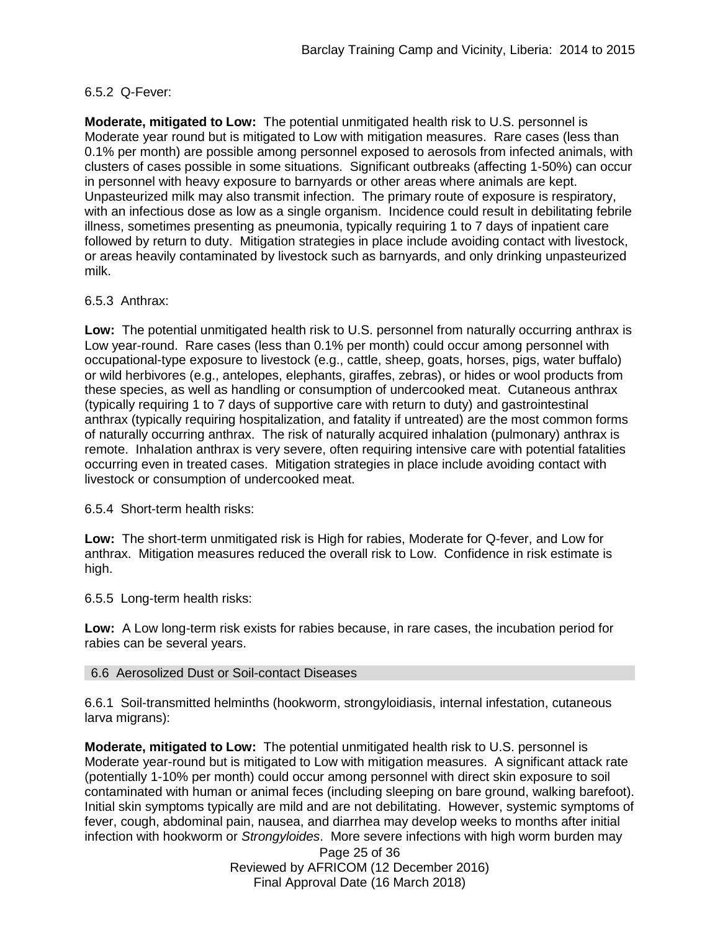## 6.5.2 Q-Fever:

**Moderate, mitigated to Low:** The potential unmitigated health risk to U.S. personnel is Moderate year round but is mitigated to Low with mitigation measures. Rare cases (less than 0.1% per month) are possible among personnel exposed to aerosols from infected animals, with clusters of cases possible in some situations. Significant outbreaks (affecting 1-50%) can occur in personnel with heavy exposure to barnyards or other areas where animals are kept. Unpasteurized milk may also transmit infection. The primary route of exposure is respiratory, with an infectious dose as low as a single organism. Incidence could result in debilitating febrile illness, sometimes presenting as pneumonia, typically requiring 1 to 7 days of inpatient care followed by return to duty. Mitigation strategies in place include avoiding contact with livestock, or areas heavily contaminated by livestock such as barnyards, and only drinking unpasteurized milk.

### 6.5.3 Anthrax:

**Low:** The potential unmitigated health risk to U.S. personnel from naturally occurring anthrax is Low year-round. Rare cases (less than 0.1% per month) could occur among personnel with occupational-type exposure to livestock (e.g., cattle, sheep, goats, horses, pigs, water buffalo) or wild herbivores (e.g., antelopes, elephants, giraffes, zebras), or hides or wool products from these species, as well as handling or consumption of undercooked meat. Cutaneous anthrax (typically requiring 1 to 7 days of supportive care with return to duty) and gastrointestinal anthrax (typically requiring hospitalization, and fatality if untreated) are the most common forms of naturally occurring anthrax. The risk of naturally acquired inhalation (pulmonary) anthrax is remote. Inhalation anthrax is very severe, often requiring intensive care with potential fatalities occurring even in treated cases. Mitigation strategies in place include avoiding contact with livestock or consumption of undercooked meat.

6.5.4 Short-term health risks:

**Low:** The short-term unmitigated risk is High for rabies, Moderate for Q-fever, and Low for anthrax. Mitigation measures reduced the overall risk to Low.Confidence in risk estimate is high.

6.5.5 Long-term health risks:

**Low:** A Low long-term risk exists for rabies because, in rare cases, the incubation period for rabies can be several years.

#### 6.6 Aerosolized Dust or Soil-contact Diseases

6.6.1 Soil-transmitted helminths (hookworm, strongyloidiasis, internal infestation, cutaneous larva migrans):

**Moderate, mitigated to Low:** The potential unmitigated health risk to U.S. personnel is Moderate year-round but is mitigated to Low with mitigation measures. A significant attack rate (potentially 1-10% per month) could occur among personnel with direct skin exposure to soil contaminated with human or animal feces (including sleeping on bare ground, walking barefoot). Initial skin symptoms typically are mild and are not debilitating. However, systemic symptoms of fever, cough, abdominal pain, nausea, and diarrhea may develop weeks to months after initial infection with hookworm or *Strongyloides*. More severe infections with high worm burden may

> Page 25 of 36 Reviewed by AFRICOM (12 December 2016) Final Approval Date (16 March 2018)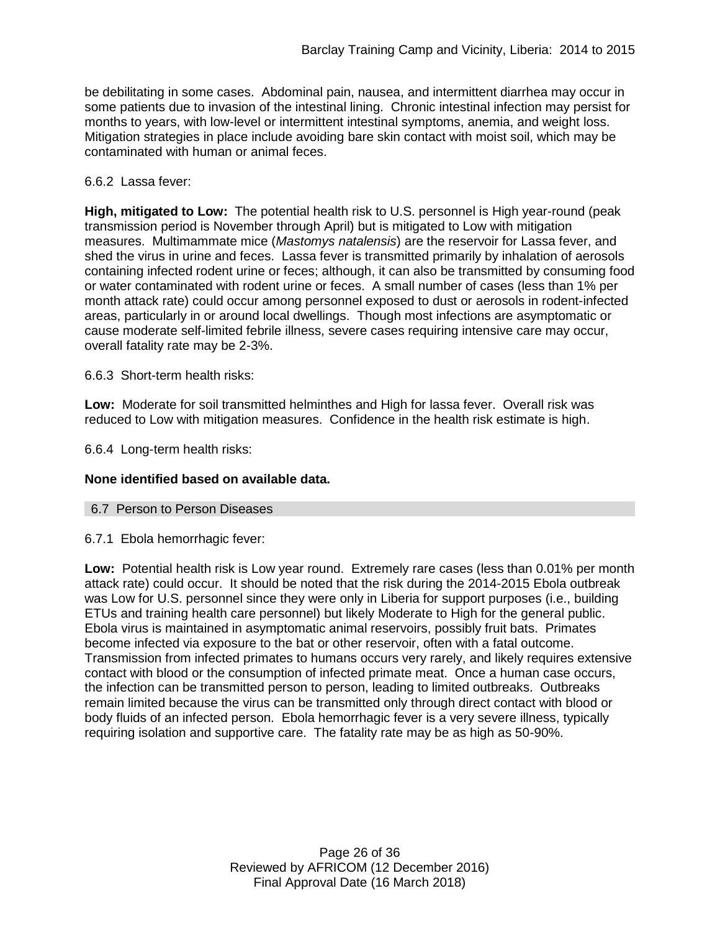be debilitating in some cases. Abdominal pain, nausea, and intermittent diarrhea may occur in some patients due to invasion of the intestinal lining. Chronic intestinal infection may persist for months to years, with low-level or intermittent intestinal symptoms, anemia, and weight loss. Mitigation strategies in place include avoiding bare skin contact with moist soil, which may be contaminated with human or animal feces.

### 6.6.2 Lassa fever:

**High, mitigated to Low:** The potential health risk to U.S. personnel is High year-round (peak transmission period is November through April) but is mitigated to Low with mitigation measures. Multimammate mice (*Mastomys natalensis*) are the reservoir for Lassa fever, and shed the virus in urine and feces. Lassa fever is transmitted primarily by inhalation of aerosols containing infected rodent urine or feces; although, it can also be transmitted by consuming food or water contaminated with rodent urine or feces. A small number of cases (less than 1% per month attack rate) could occur among personnel exposed to dust or aerosols in rodent-infected areas, particularly in or around local dwellings. Though most infections are asymptomatic or cause moderate self-limited febrile illness, severe cases requiring intensive care may occur, overall fatality rate may be 2-3%.

6.6.3 Short-term health risks:

**Low:** Moderate for soil transmitted helminthes and High for lassa fever. Overall risk was reduced to Low with mitigation measures. Confidence in the health risk estimate is high.

6.6.4 Long-term health risks:

## **None identified based on available data.**

#### 6.7 Person to Person Diseases

6.7.1 Ebola hemorrhagic fever:

**Low:** Potential health risk is Low year round. Extremely rare cases (less than 0.01% per month attack rate) could occur. It should be noted that the risk during the 2014-2015 Ebola outbreak was Low for U.S. personnel since they were only in Liberia for support purposes (i.e., building ETUs and training health care personnel) but likely Moderate to High for the general public. Ebola virus is maintained in asymptomatic animal reservoirs, possibly fruit bats. Primates become infected via exposure to the bat or other reservoir, often with a fatal outcome. Transmission from infected primates to humans occurs very rarely, and likely requires extensive contact with blood or the consumption of infected primate meat. Once a human case occurs, the infection can be transmitted person to person, leading to limited outbreaks. Outbreaks remain limited because the virus can be transmitted only through direct contact with blood or body fluids of an infected person. Ebola hemorrhagic fever is a very severe illness, typically requiring isolation and supportive care. The fatality rate may be as high as 50-90%.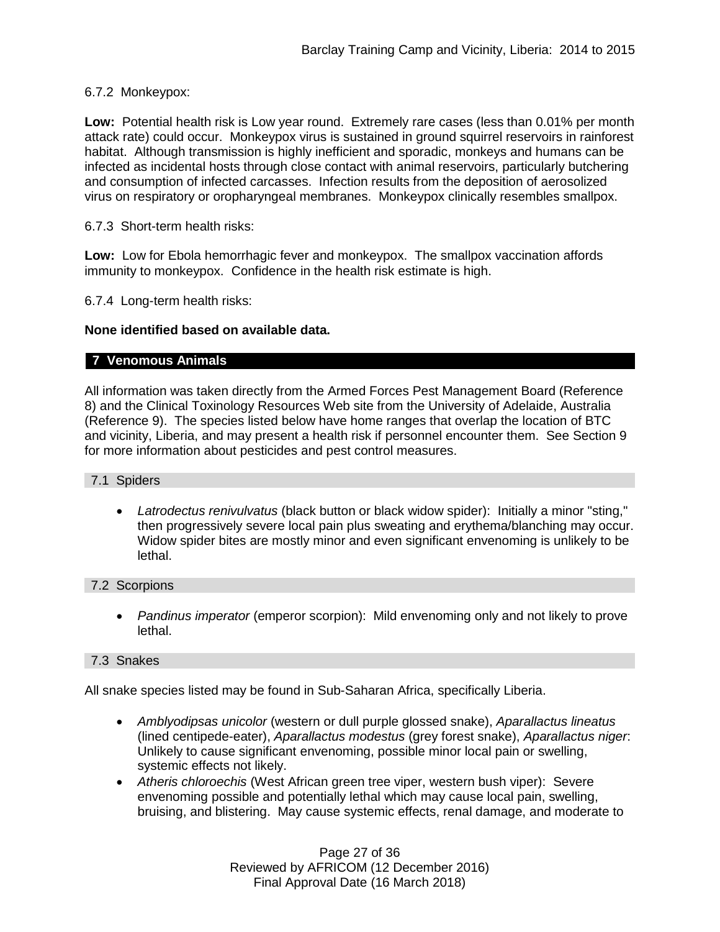### 6.7.2 Monkeypox:

**Low:** Potential health risk is Low year round. Extremely rare cases (less than 0.01% per month attack rate) could occur. Monkeypox virus is sustained in ground squirrel reservoirs in rainforest habitat. Although transmission is highly inefficient and sporadic, monkeys and humans can be infected as incidental hosts through close contact with animal reservoirs, particularly butchering and consumption of infected carcasses. Infection results from the deposition of aerosolized virus on respiratory or oropharyngeal membranes. Monkeypox clinically resembles smallpox.

#### 6.7.3 Short-term health risks:

**Low:** Low for Ebola hemorrhagic fever and monkeypox. The smallpox vaccination affords immunity to monkeypox. Confidence in the health risk estimate is high.

6.7.4 Long-term health risks:

### **None identified based on available data.**

### **7 Venomous Animals**

All information was taken directly from the Armed Forces Pest Management Board (Reference 8) and the Clinical Toxinology Resources Web site from the University of Adelaide, Australia (Reference 9). The species listed below have home ranges that overlap the location of BTC and vicinity, Liberia, and may present a health risk if personnel encounter them. See Section 9 for more information about pesticides and pest control measures.

#### 7.1 Spiders

 *Latrodectus renivulvatus* (black button or black widow spider): Initially a minor "sting," then progressively severe local pain plus sweating and erythema/blanching may occur. Widow spider bites are mostly minor and even significant envenoming is unlikely to be lethal.

#### 7.2 Scorpions

 *Pandinus imperator* (emperor scorpion): Mild envenoming only and not likely to prove lethal.

## 7.3 Snakes

All snake species listed may be found in Sub-Saharan Africa, specifically Liberia.

- *Amblyodipsas unicolor* (western or dull purple glossed snake), *Aparallactus lineatus* (lined centipede-eater), *Aparallactus modestus* (grey forest snake), *Aparallactus niger*: Unlikely to cause significant envenoming, possible minor local pain or swelling, systemic effects not likely.
- *Atheris chloroechis* (West African green tree viper, western bush viper): Severe envenoming possible and potentially lethal which may cause local pain, swelling, bruising, and blistering. May cause systemic effects, renal damage, and moderate to

Page 27 of 36 Reviewed by AFRICOM (12 December 2016) Final Approval Date (16 March 2018)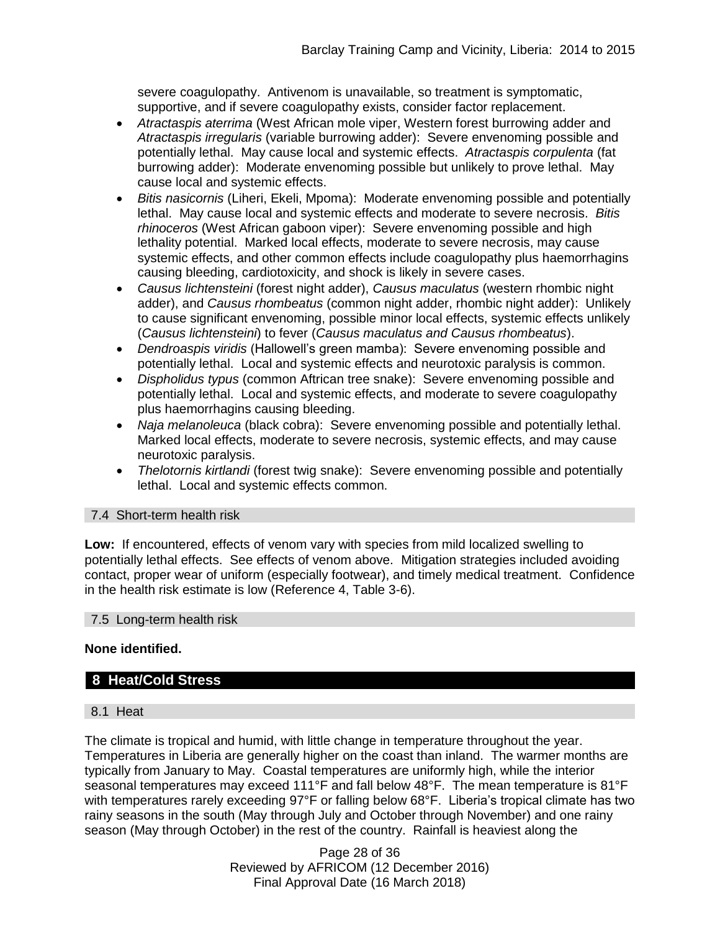severe coagulopathy. Antivenom is unavailable, so treatment is symptomatic, supportive, and if severe coagulopathy exists, consider factor replacement.

- *Atractaspis aterrima* (West African mole viper, Western forest burrowing adder and *Atractaspis irregularis* (variable burrowing adder): Severe envenoming possible and potentially lethal. May cause local and systemic effects. *Atractaspis corpulenta* (fat burrowing adder): Moderate envenoming possible but unlikely to prove lethal. May cause local and systemic effects.
- *Bitis nasicornis* (Liheri, Ekeli, Mpoma): Moderate envenoming possible and potentially lethal. May cause local and systemic effects and moderate to severe necrosis. *Bitis rhinoceros* (West African gaboon viper): Severe envenoming possible and high lethality potential. Marked local effects, moderate to severe necrosis, may cause systemic effects, and other common effects include coagulopathy plus haemorrhagins causing bleeding, cardiotoxicity, and shock is likely in severe cases.
- *Causus lichtensteini* (forest night adder), *Causus maculatus* (western rhombic night adder), and *Causus rhombeatus* (common night adder, rhombic night adder): Unlikely to cause significant envenoming, possible minor local effects, systemic effects unlikely (*Causus lichtensteini*) to fever (*Causus maculatus and Causus rhombeatus*).
- *Dendroaspis viridis* (Hallowell's green mamba): Severe envenoming possible and potentially lethal. Local and systemic effects and neurotoxic paralysis is common.
- *Dispholidus typus* (common Aftrican tree snake): Severe envenoming possible and potentially lethal. Local and systemic effects, and moderate to severe coagulopathy plus haemorrhagins causing bleeding.
- *Naja melanoleuca* (black cobra): Severe envenoming possible and potentially lethal. Marked local effects, moderate to severe necrosis, systemic effects, and may cause neurotoxic paralysis.
- *Thelotornis kirtlandi* (forest twig snake): Severe envenoming possible and potentially lethal. Local and systemic effects common.

## 7.4 Short-term health risk

**Low:** If encountered, effects of venom vary with species from mild localized swelling to potentially lethal effects. See effects of venom above. Mitigation strategies included avoiding contact, proper wear of uniform (especially footwear), and timely medical treatment. Confidence in the health risk estimate is low (Reference 4, Table 3-6).

#### 7.5 Long-term health risk

## **None identified.**

## **8 Heat/Cold Stress**

## 8.1 Heat

The climate is tropical and humid, with little change in temperature throughout the year. Temperatures in Liberia are generally higher on the coast than inland. The warmer months are typically from January to May. Coastal temperatures are uniformly high, while the interior seasonal temperatures may exceed 111°F and fall below 48°F. The mean temperature is 81°F with temperatures rarely exceeding 97°F or falling below 68°F. Liberia's tropical climate has two rainy seasons in the south (May through July and October through November) and one rainy season (May through October) in the rest of the country. Rainfall is heaviest along the

> Page 28 of 36 Reviewed by AFRICOM (12 December 2016) Final Approval Date (16 March 2018)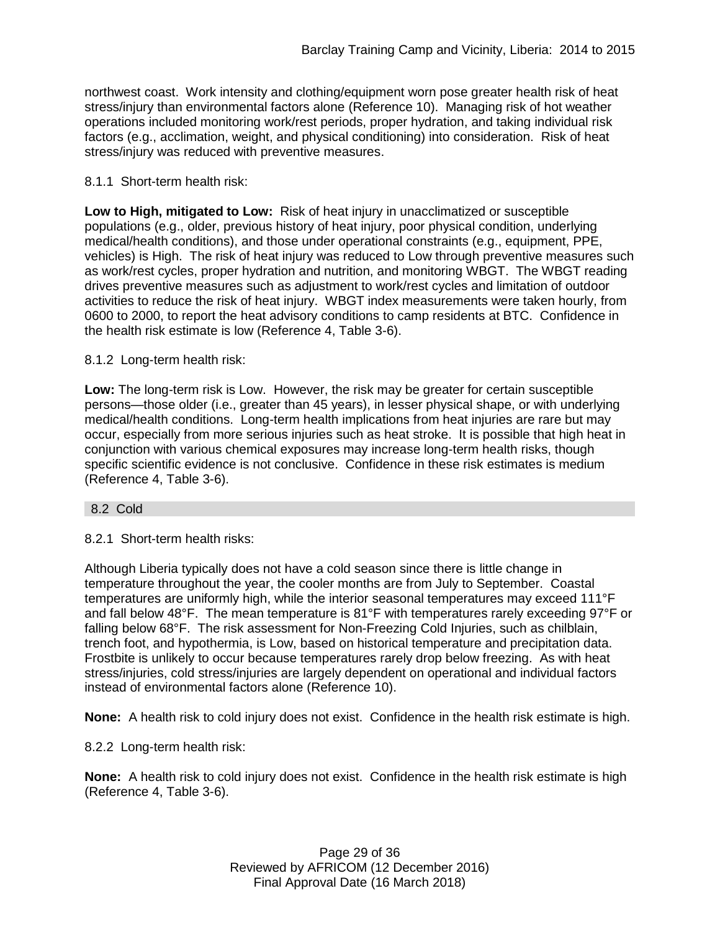northwest coast. Work intensity and clothing/equipment worn pose greater health risk of heat stress/injury than environmental factors alone (Reference 10). Managing risk of hot weather operations included monitoring work/rest periods, proper hydration, and taking individual risk factors (e.g., acclimation, weight, and physical conditioning) into consideration. Risk of heat stress/injury was reduced with preventive measures.

## 8.1.1 Short-term health risk:

**Low to High, mitigated to Low:** Risk of heat injury in unacclimatized or susceptible populations (e.g., older, previous history of heat injury, poor physical condition, underlying medical/health conditions), and those under operational constraints (e.g., equipment, PPE, vehicles) is High. The risk of heat injury was reduced to Low through preventive measures such as work/rest cycles, proper hydration and nutrition, and monitoring WBGT. The WBGT reading drives preventive measures such as adjustment to work/rest cycles and limitation of outdoor activities to reduce the risk of heat injury. WBGT index measurements were taken hourly, from 0600 to 2000, to report the heat advisory conditions to camp residents at BTC. Confidence in the health risk estimate is low (Reference 4, Table 3-6).

### 8.1.2 Long-term health risk:

**Low:** The long-term risk is Low. However, the risk may be greater for certain susceptible persons—those older (i.e., greater than 45 years), in lesser physical shape, or with underlying medical/health conditions. Long-term health implications from heat injuries are rare but may occur, especially from more serious injuries such as heat stroke. It is possible that high heat in conjunction with various chemical exposures may increase long-term health risks, though specific scientific evidence is not conclusive. Confidence in these risk estimates is medium (Reference 4, Table 3-6).

#### 8.2 Cold

8.2.1 Short-term health risks:

Although Liberia typically does not have a cold season since there is little change in temperature throughout the year, the cooler months are from July to September. Coastal temperatures are uniformly high, while the interior seasonal temperatures may exceed 111°F and fall below 48°F. The mean temperature is 81°F with temperatures rarely exceeding 97°F or falling below 68°F. The risk assessment for Non-Freezing Cold Injuries, such as chilblain, trench foot, and hypothermia, is Low, based on historical temperature and precipitation data. Frostbite is unlikely to occur because temperatures rarely drop below freezing. As with heat stress/injuries, cold stress/injuries are largely dependent on operational and individual factors instead of environmental factors alone (Reference 10).

**None:** A health risk to cold injury does not exist. Confidence in the health risk estimate is high.

#### 8.2.2 Long-term health risk:

**None:** A health risk to cold injury does not exist. Confidence in the health risk estimate is high (Reference 4, Table 3-6).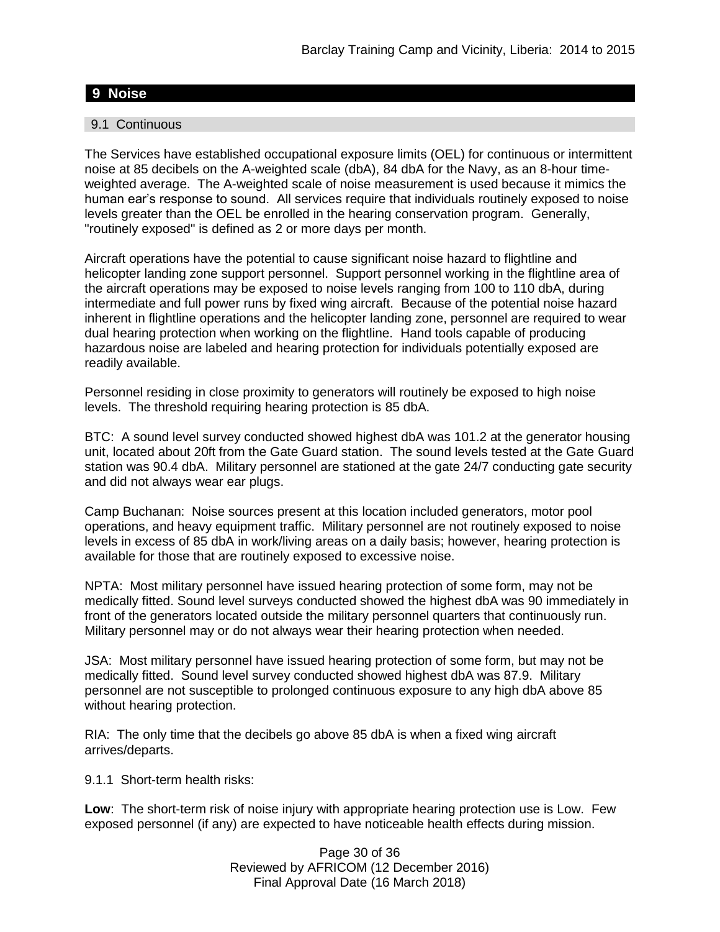# **9 Noise**

#### 9.1 Continuous

The Services have established occupational exposure limits (OEL) for continuous or intermittent noise at 85 decibels on the A-weighted scale (dbA), 84 dbA for the Navy, as an 8-hour timeweighted average. The A-weighted scale of noise measurement is used because it mimics the human ear's response to sound. All services require that individuals routinely exposed to noise levels greater than the OEL be enrolled in the hearing conservation program. Generally, "routinely exposed" is defined as 2 or more days per month.

Aircraft operations have the potential to cause significant noise hazard to flightline and helicopter landing zone support personnel. Support personnel working in the flightline area of the aircraft operations may be exposed to noise levels ranging from 100 to 110 dbA, during intermediate and full power runs by fixed wing aircraft. Because of the potential noise hazard inherent in flightline operations and the helicopter landing zone, personnel are required to wear dual hearing protection when working on the flightline. Hand tools capable of producing hazardous noise are labeled and hearing protection for individuals potentially exposed are readily available.

Personnel residing in close proximity to generators will routinely be exposed to high noise levels. The threshold requiring hearing protection is 85 dbA.

BTC: A sound level survey conducted showed highest dbA was 101.2 at the generator housing unit, located about 20ft from the Gate Guard station. The sound levels tested at the Gate Guard station was 90.4 dbA. Military personnel are stationed at the gate 24/7 conducting gate security and did not always wear ear plugs.

Camp Buchanan: Noise sources present at this location included generators, motor pool operations, and heavy equipment traffic. Military personnel are not routinely exposed to noise levels in excess of 85 dbA in work/living areas on a daily basis; however, hearing protection is available for those that are routinely exposed to excessive noise.

NPTA: Most military personnel have issued hearing protection of some form, may not be medically fitted. Sound level surveys conducted showed the highest dbA was 90 immediately in front of the generators located outside the military personnel quarters that continuously run. Military personnel may or do not always wear their hearing protection when needed.

JSA: Most military personnel have issued hearing protection of some form, but may not be medically fitted. Sound level survey conducted showed highest dbA was 87.9. Military personnel are not susceptible to prolonged continuous exposure to any high dbA above 85 without hearing protection.

RIA: The only time that the decibels go above 85 dbA is when a fixed wing aircraft arrives/departs.

9.1.1 Short-term health risks:

**Low**: The short-term risk of noise injury with appropriate hearing protection use is Low. Few exposed personnel (if any) are expected to have noticeable health effects during mission.

> Page 30 of 36 Reviewed by AFRICOM (12 December 2016) Final Approval Date (16 March 2018)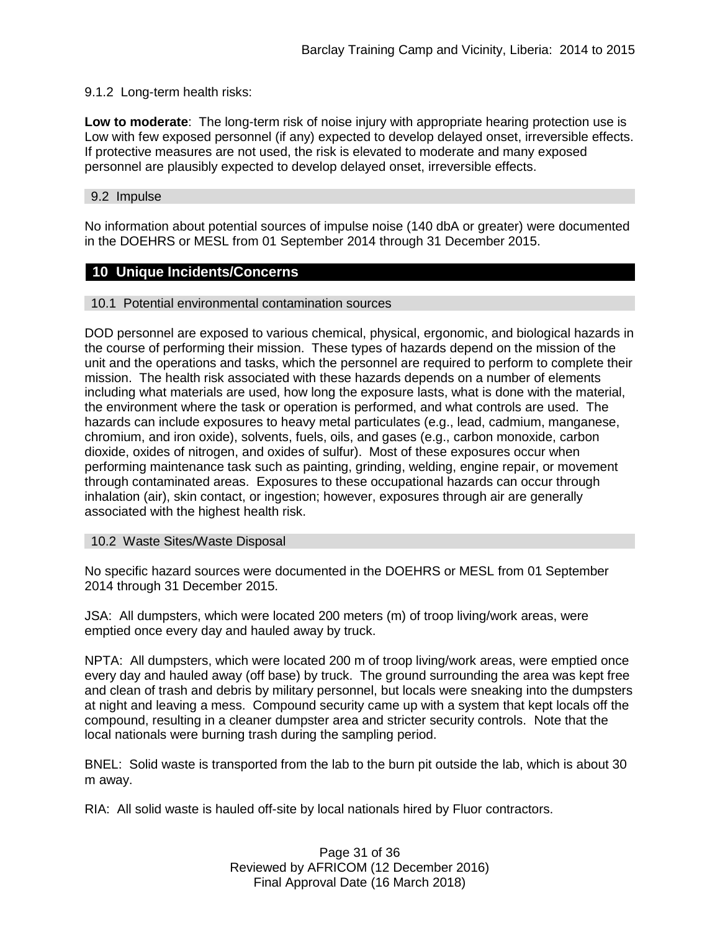### 9.1.2 Long-term health risks:

**Low to moderate**: The long-term risk of noise injury with appropriate hearing protection use is Low with few exposed personnel (if any) expected to develop delayed onset, irreversible effects. If protective measures are not used, the risk is elevated to moderate and many exposed personnel are plausibly expected to develop delayed onset, irreversible effects.

#### 9.2 Impulse

No information about potential sources of impulse noise (140 dbA or greater) were documented in the DOEHRS or MESL from 01 September 2014 through 31 December 2015.

### **10 Unique Incidents/Concerns**

#### 10.1 Potential environmental contamination sources

DOD personnel are exposed to various chemical, physical, ergonomic, and biological hazards in the course of performing their mission. These types of hazards depend on the mission of the unit and the operations and tasks, which the personnel are required to perform to complete their mission. The health risk associated with these hazards depends on a number of elements including what materials are used, how long the exposure lasts, what is done with the material, the environment where the task or operation is performed, and what controls are used. The hazards can include exposures to heavy metal particulates (e.g., lead, cadmium, manganese, chromium, and iron oxide), solvents, fuels, oils, and gases (e.g., carbon monoxide, carbon dioxide, oxides of nitrogen, and oxides of sulfur). Most of these exposures occur when performing maintenance task such as painting, grinding, welding, engine repair, or movement through contaminated areas. Exposures to these occupational hazards can occur through inhalation (air), skin contact, or ingestion; however, exposures through air are generally associated with the highest health risk.

10.2 Waste Sites/Waste Disposal

No specific hazard sources were documented in the DOEHRS or MESL from 01 September 2014 through 31 December 2015.

JSA: All dumpsters, which were located 200 meters (m) of troop living/work areas, were emptied once every day and hauled away by truck.

NPTA: All dumpsters, which were located 200 m of troop living/work areas, were emptied once every day and hauled away (off base) by truck. The ground surrounding the area was kept free and clean of trash and debris by military personnel, but locals were sneaking into the dumpsters at night and leaving a mess. Compound security came up with a system that kept locals off the compound, resulting in a cleaner dumpster area and stricter security controls. Note that the local nationals were burning trash during the sampling period.

BNEL: Solid waste is transported from the lab to the burn pit outside the lab, which is about 30 m away.

RIA: All solid waste is hauled off-site by local nationals hired by Fluor contractors.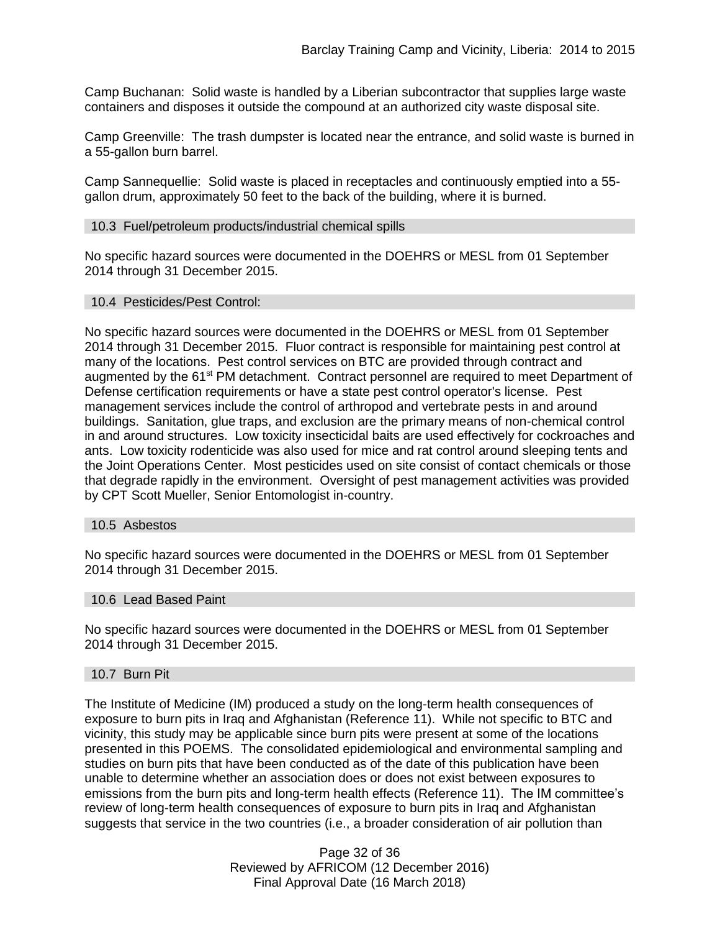Camp Buchanan: Solid waste is handled by a Liberian subcontractor that supplies large waste containers and disposes it outside the compound at an authorized city waste disposal site.

Camp Greenville: The trash dumpster is located near the entrance, and solid waste is burned in a 55-gallon burn barrel.

Camp Sannequellie: Solid waste is placed in receptacles and continuously emptied into a 55 gallon drum, approximately 50 feet to the back of the building, where it is burned.

### 10.3 Fuel/petroleum products/industrial chemical spills

No specific hazard sources were documented in the DOEHRS or MESL from 01 September 2014 through 31 December 2015.

#### 10.4 Pesticides/Pest Control:

No specific hazard sources were documented in the DOEHRS or MESL from 01 September 2014 through 31 December 2015. Fluor contract is responsible for maintaining pest control at many of the locations. Pest control services on BTC are provided through contract and augmented by the 61<sup>st</sup> PM detachment. Contract personnel are required to meet Department of Defense certification requirements or have a state pest control operator's license. Pest management services include the control of arthropod and vertebrate pests in and around buildings. Sanitation, glue traps, and exclusion are the primary means of non-chemical control in and around structures. Low toxicity insecticidal baits are used effectively for cockroaches and ants. Low toxicity rodenticide was also used for mice and rat control around sleeping tents and the Joint Operations Center. Most pesticides used on site consist of contact chemicals or those that degrade rapidly in the environment. Oversight of pest management activities was provided by CPT Scott Mueller, Senior Entomologist in-country.

#### 10.5 Asbestos

No specific hazard sources were documented in the DOEHRS or MESL from 01 September 2014 through 31 December 2015.

#### 10.6 Lead Based Paint

No specific hazard sources were documented in the DOEHRS or MESL from 01 September 2014 through 31 December 2015.

#### 10.7 Burn Pit

The Institute of Medicine (IM) produced a study on the long-term health consequences of exposure to burn pits in Iraq and Afghanistan (Reference 11). While not specific to BTC and vicinity, this study may be applicable since burn pits were present at some of the locations presented in this POEMS. The consolidated epidemiological and environmental sampling and studies on burn pits that have been conducted as of the date of this publication have been unable to determine whether an association does or does not exist between exposures to emissions from the burn pits and long-term health effects (Reference 11). The IM committee's review of long-term health consequences of exposure to burn pits in Iraq and Afghanistan suggests that service in the two countries (i.e., a broader consideration of air pollution than

> Page 32 of 36 Reviewed by AFRICOM (12 December 2016) Final Approval Date (16 March 2018)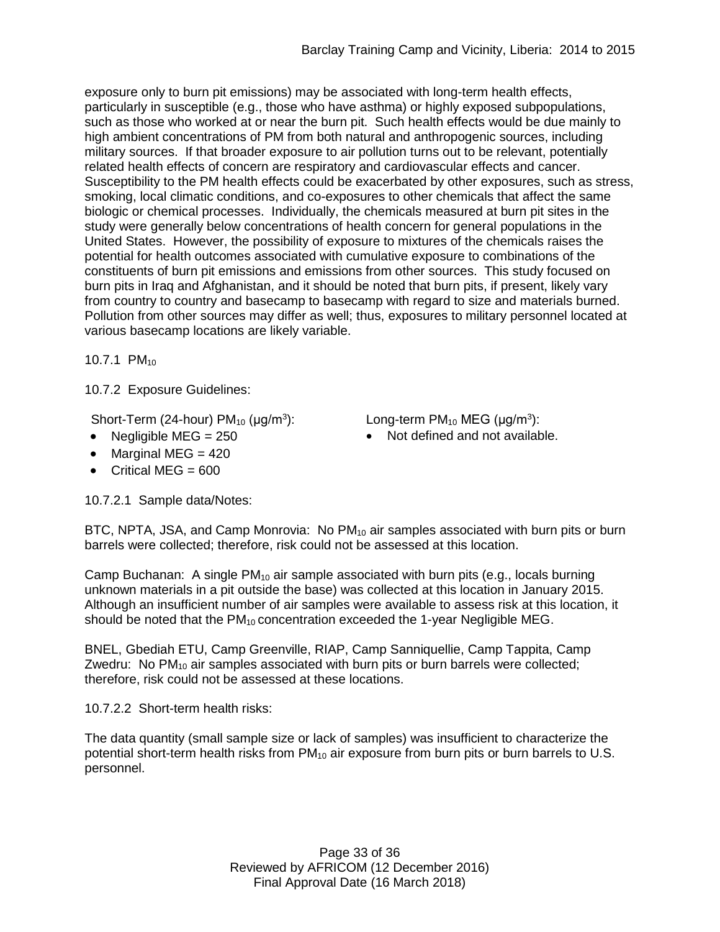exposure only to burn pit emissions) may be associated with long-term health effects, particularly in susceptible (e.g., those who have asthma) or highly exposed subpopulations, such as those who worked at or near the burn pit. Such health effects would be due mainly to high ambient concentrations of PM from both natural and anthropogenic sources, including military sources. If that broader exposure to air pollution turns out to be relevant, potentially related health effects of concern are respiratory and cardiovascular effects and cancer. Susceptibility to the PM health effects could be exacerbated by other exposures, such as stress, smoking, local climatic conditions, and co-exposures to other chemicals that affect the same biologic or chemical processes. Individually, the chemicals measured at burn pit sites in the study were generally below concentrations of health concern for general populations in the United States. However, the possibility of exposure to mixtures of the chemicals raises the potential for health outcomes associated with cumulative exposure to combinations of the constituents of burn pit emissions and emissions from other sources. This study focused on burn pits in Iraq and Afghanistan, and it should be noted that burn pits, if present, likely vary from country to country and basecamp to basecamp with regard to size and materials burned. Pollution from other sources may differ as well; thus, exposures to military personnel located at various basecamp locations are likely variable.

10.7.1 PM<sub>10</sub>

10.7.2 Exposure Guidelines:

Short-Term (24-hour)  $PM_{10}$  ( $\mu$ g/m<sup>3</sup>):

- 
- Marginal MEG  $= 420$
- $\bullet$  Critical MEG = 600

10.7.2.1 Sample data/Notes:

):  $Long-term PM<sub>10</sub> MEG (µg/m<sup>3</sup>):$ 

• Negligible MEG = 250 **•** Not defined and not available.

BTC, NPTA, JSA, and Camp Monrovia: No  $PM_{10}$  air samples associated with burn pits or burn barrels were collected; therefore, risk could not be assessed at this location.

Camp Buchanan: A single  $PM_{10}$  air sample associated with burn pits (e.g., locals burning unknown materials in a pit outside the base) was collected at this location in January 2015. Although an insufficient number of air samples were available to assess risk at this location, it should be noted that the  $PM_{10}$  concentration exceeded the 1-year Negligible MEG.

BNEL, Gbediah ETU, Camp Greenville, RIAP, Camp Sanniquellie, Camp Tappita, Camp Zwedru: No  $PM_{10}$  air samples associated with burn pits or burn barrels were collected; therefore, risk could not be assessed at these locations.

10.7.2.2 Short-term health risks:

The data quantity (small sample size or lack of samples) was insufficient to characterize the potential short-term health risks from PM<sub>10</sub> air exposure from burn pits or burn barrels to U.S. personnel.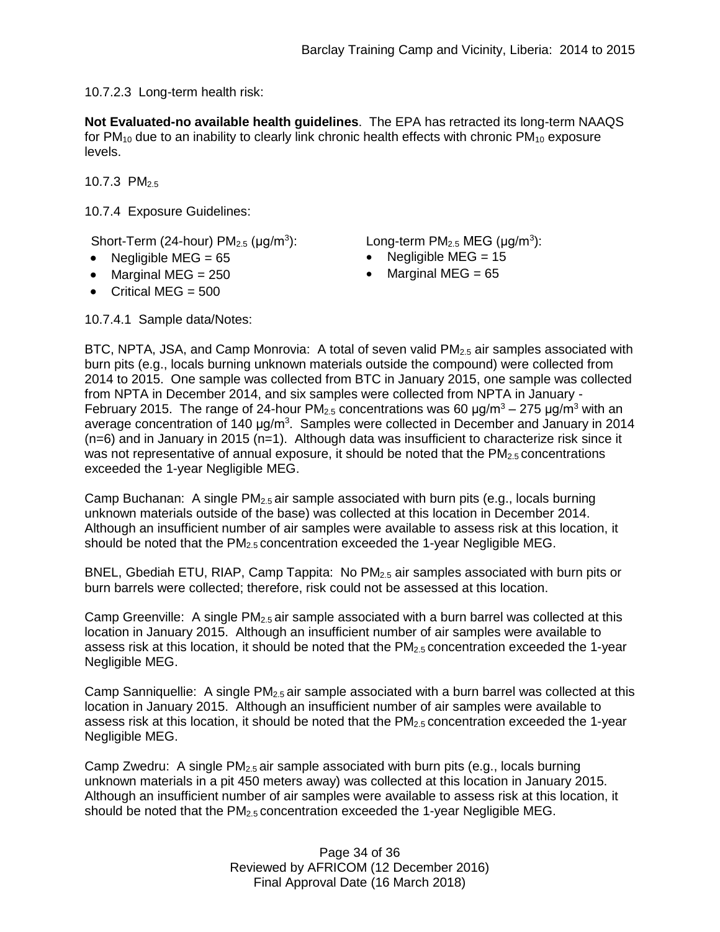10.7.2.3 Long-term health risk:

**Not Evaluated-no available health guidelines**. The EPA has retracted its long-term NAAQS for  $PM_{10}$  due to an inability to clearly link chronic health effects with chronic  $PM_{10}$  exposure levels.

10.7.3  $PM_{2.5}$ 

10.7.4 Exposure Guidelines:

Short-Term (24-hour)  $PM_{2.5}$  ( $\mu$ g/m<sup>3</sup>): Long-term  $PM_{2.5}$  MEG ( $\mu$ g/m<sup>3</sup>):

- Negligible MEG = 65 Negligible MEG = 15
- Marginal MEG =  $250$  Marginal MEG =  $65$
- $\bullet$  Critical MEG = 500

- 
- 

10.7.4.1 Sample data/Notes:

BTC, NPTA, JSA, and Camp Monrovia: A total of seven valid PM<sub>2.5</sub> air samples associated with burn pits (e.g., locals burning unknown materials outside the compound) were collected from 2014 to 2015. One sample was collected from BTC in January 2015, one sample was collected from NPTA in December 2014, and six samples were collected from NPTA in January - February 2015. The range of 24-hour PM<sub>2.5</sub> concentrations was 60  $\mu q/m^3 - 275 \mu q/m^3$  with an average concentration of 140  $\mu$ g/m<sup>3</sup>. Samples were collected in December and January in 2014  $(n=6)$  and in January in 2015 (n=1). Although data was insufficient to characterize risk since it was not representative of annual exposure, it should be noted that the  $PM<sub>2.5</sub>$  concentrations exceeded the 1-year Negligible MEG.

Camp Buchanan: A single  $PM<sub>2.5</sub>$  air sample associated with burn pits (e.g., locals burning unknown materials outside of the base) was collected at this location in December 2014. Although an insufficient number of air samples were available to assess risk at this location, it should be noted that the PM<sub>2.5</sub> concentration exceeded the 1-year Negligible MEG.

BNEL, Gbediah ETU, RIAP, Camp Tappita: No  $PM_{2.5}$  air samples associated with burn pits or burn barrels were collected; therefore, risk could not be assessed at this location.

Camp Greenville: A single PM<sub>2.5</sub> air sample associated with a burn barrel was collected at this location in January 2015. Although an insufficient number of air samples were available to assess risk at this location, it should be noted that the PM<sub>2.5</sub> concentration exceeded the 1-year Negligible MEG.

Camp Sanniquellie: A single  $PM_{2.5}$  air sample associated with a burn barrel was collected at this location in January 2015. Although an insufficient number of air samples were available to assess risk at this location, it should be noted that the  $PM_{2.5}$  concentration exceeded the 1-year Negligible MEG.

Camp Zwedru: A single  $PM_{2.5}$  air sample associated with burn pits (e.g., locals burning unknown materials in a pit 450 meters away) was collected at this location in January 2015. Although an insufficient number of air samples were available to assess risk at this location, it should be noted that the  $PM_{2.5}$  concentration exceeded the 1-year Negligible MEG.

> Page 34 of 36 Reviewed by AFRICOM (12 December 2016) Final Approval Date (16 March 2018)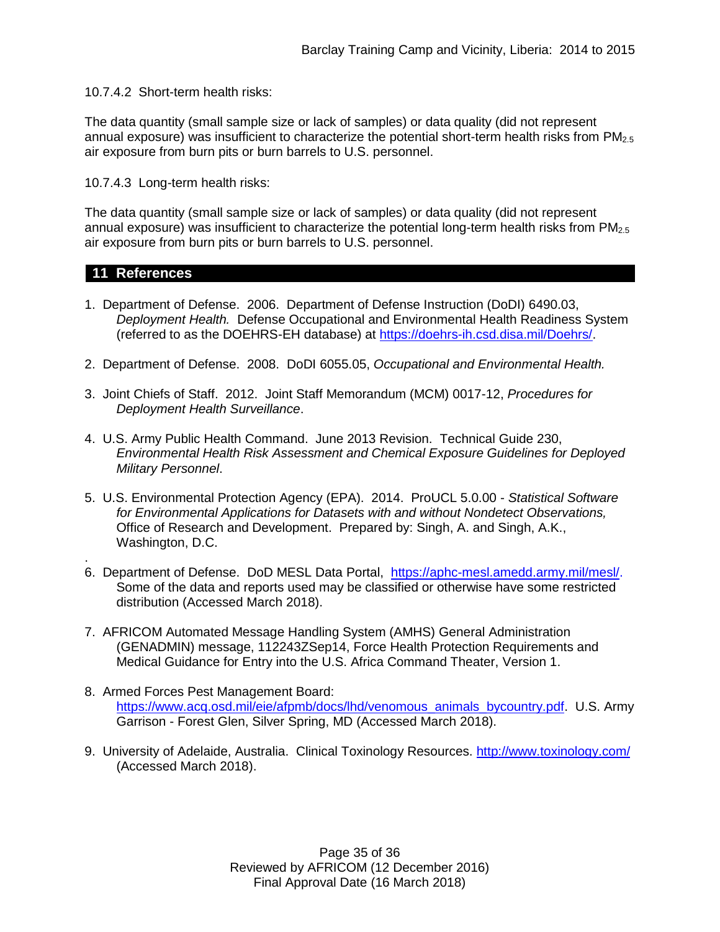10.7.4.2 Short-term health risks:

The data quantity (small sample size or lack of samples) or data quality (did not represent annual exposure) was insufficient to characterize the potential short-term health risks from  $PM<sub>2.5</sub>$ air exposure from burn pits or burn barrels to U.S. personnel.

10.7.4.3 Long-term health risks:

The data quantity (small sample size or lack of samples) or data quality (did not represent annual exposure) was insufficient to characterize the potential long-term health risks from PM<sub>2.5</sub> air exposure from burn pits or burn barrels to U.S. personnel.

## **11 References**

.

- 1. Department of Defense. 2006. Department of Defense Instruction (DoDI) 6490.03, *Deployment Health.* Defense Occupational and Environmental Health Readiness System (referred to as the DOEHRS-EH database) at [https://doehrs-ih.csd.disa.mil/Doehrs/.](https://doehrs-ih.csd.disa.mil/Doehrs/)
- 2. Department of Defense. 2008. DoDI 6055.05, *Occupational and Environmental Health.*
- 3. Joint Chiefs of Staff. 2012. Joint Staff Memorandum (MCM) 0017-12, *Procedures for Deployment Health Surveillance*.
- 4. U.S. Army Public Health Command. June 2013 Revision. Technical Guide 230, *Environmental Health Risk Assessment and Chemical Exposure Guidelines for Deployed Military Personnel*.
- 5. U.S. Environmental Protection Agency (EPA). 2014. ProUCL 5.0.00 *Statistical Software for Environmental Applications for Datasets with and without Nondetect Observations,* Office of Research and Development. Prepared by: Singh, A. and Singh, A.K., Washington, D.C.
- 6. Department of Defense. DoD MESL Data Portal, [https://aphc-mesl.amedd.army.mil/mesl/.](https://aphc-mesl.amedd.army.mil/mesl/) Some of the data and reports used may be classified or otherwise have some restricted distribution (Accessed March 2018).
- 7. AFRICOM Automated Message Handling System (AMHS) General Administration (GENADMIN) message, 112243ZSep14, Force Health Protection Requirements and Medical Guidance for Entry into the U.S. Africa Command Theater, Version 1.
- 8. Armed Forces Pest Management Board: [https://www.acq.osd.mil/eie/afpmb/docs/lhd/venomous\\_animals\\_bycountry.pdf.](https://www.acq.osd.mil/eie/afpmb/docs/lhd/venomous_animals_bycountry.pdf) U.S. Army Garrison - Forest Glen, Silver Spring, MD (Accessed March 2018).
- 9. University of Adelaide, Australia. Clinical Toxinology Resources. <http://www.toxinology.com/> (Accessed March 2018).